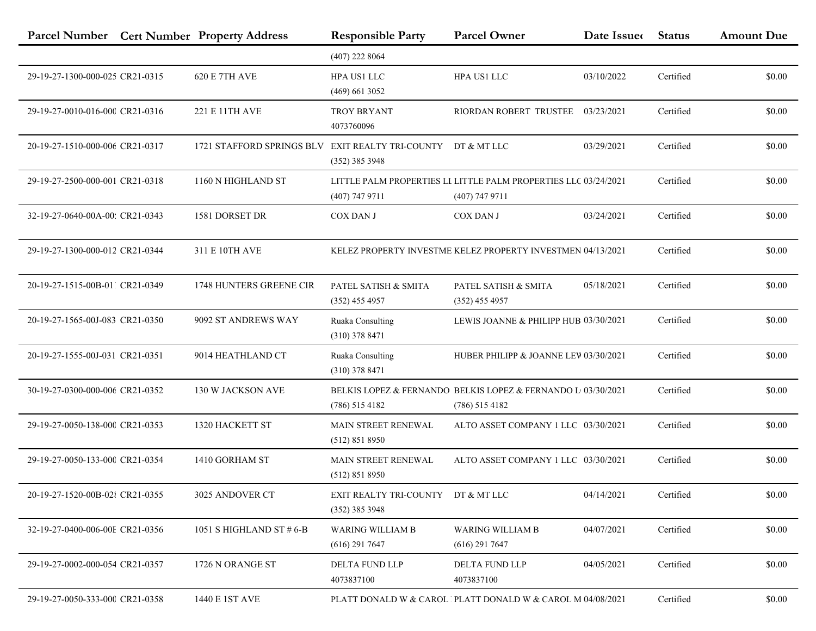|                                 | Parcel Number Cert Number Property Address | <b>Responsible Party</b>                               | <b>Parcel Owner</b>                                                                 | Date Issue | <b>Status</b> | <b>Amount Due</b> |
|---------------------------------|--------------------------------------------|--------------------------------------------------------|-------------------------------------------------------------------------------------|------------|---------------|-------------------|
|                                 |                                            | $(407)$ 222 8064                                       |                                                                                     |            |               |                   |
| 29-19-27-1300-000-025 CR21-0315 | <b>620 E 7TH AVE</b>                       | HPA US1 LLC<br>$(469)$ 661 3052                        | HPA US1 LLC                                                                         | 03/10/2022 | Certified     | \$0.00            |
| 29-19-27-0010-016-000 CR21-0316 | 221 E 11TH AVE                             | <b>TROY BRYANT</b><br>4073760096                       | RIORDAN ROBERT TRUSTEE                                                              | 03/23/2021 | Certified     | \$0.00            |
| 20-19-27-1510-000-006 CR21-0317 | 1721 STAFFORD SPRINGS BLV                  | EXIT REALTY TRI-COUNTY DT & MT LLC<br>$(352)$ 385 3948 |                                                                                     | 03/29/2021 | Certified     | \$0.00            |
| 29-19-27-2500-000-001 CR21-0318 | 1160 N HIGHLAND ST                         | $(407)$ 747 9711                                       | LITTLE PALM PROPERTIES LI LITTLE PALM PROPERTIES LLC 03/24/2021<br>$(407)$ 747 9711 |            | Certified     | \$0.00            |
| 32-19-27-0640-00A-00; CR21-0343 | 1581 DORSET DR                             | COX DAN J                                              | COX DAN J                                                                           | 03/24/2021 | Certified     | \$0.00            |
| 29-19-27-1300-000-012 CR21-0344 | 311 E 10TH AVE                             |                                                        | KELEZ PROPERTY INVESTME KELEZ PROPERTY INVESTMEN 04/13/2021                         |            | Certified     | \$0.00            |
| 20-19-27-1515-00B-011 CR21-0349 | 1748 HUNTERS GREENE CIR                    | PATEL SATISH & SMITA<br>$(352)$ 455 4957               | PATEL SATISH & SMITA<br>$(352)$ 455 4957                                            | 05/18/2021 | Certified     | \$0.00            |
| 20-19-27-1565-00J-083 CR21-0350 | 9092 ST ANDREWS WAY                        | Ruaka Consulting<br>$(310)$ 378 8471                   | LEWIS JOANNE & PHILIPP HUB 03/30/2021                                               |            | Certified     | \$0.00            |
| 20-19-27-1555-00J-031 CR21-0351 | 9014 HEATHLAND CT                          | Ruaka Consulting<br>$(310)$ 378 8471                   | HUBER PHILIPP & JOANNE LEW 03/30/2021                                               |            | Certified     | \$0.00            |
| 30-19-27-0300-000-006 CR21-0352 | 130 W JACKSON AVE                          | $(786)$ 515 4182                                       | BELKIS LOPEZ & FERNANDO BELKIS LOPEZ & FERNANDO L 03/30/2021<br>$(786)$ 515 4182    |            | Certified     | \$0.00            |
| 29-19-27-0050-138-000 CR21-0353 | 1320 HACKETT ST                            | MAIN STREET RENEWAL<br>(512) 851 8950                  | ALTO ASSET COMPANY 1 LLC 03/30/2021                                                 |            | Certified     | \$0.00            |
| 29-19-27-0050-133-000 CR21-0354 | 1410 GORHAM ST                             | MAIN STREET RENEWAL<br>(512) 851 8950                  | ALTO ASSET COMPANY 1 LLC 03/30/2021                                                 |            | Certified     | \$0.00            |
| 20-19-27-1520-00B-02{ CR21-0355 | 3025 ANDOVER CT                            | EXIT REALTY TRI-COUNTY DT & MT LLC<br>$(352)$ 385 3948 |                                                                                     | 04/14/2021 | Certified     | \$0.00            |
| 32-19-27-0400-006-00E CR21-0356 | 1051 S HIGHLAND ST $#$ 6-B                 | <b>WARING WILLIAM B</b><br>$(616)$ 291 7647            | <b>WARING WILLIAM B</b><br>$(616)$ 291 7647                                         | 04/07/2021 | Certified     | \$0.00            |
| 29-19-27-0002-000-054 CR21-0357 | 1726 N ORANGE ST                           | DELTA FUND LLP<br>4073837100                           | DELTA FUND LLP<br>4073837100                                                        | 04/05/2021 | Certified     | \$0.00            |
| 29-19-27-0050-333-000 CR21-0358 | 1440 E 1ST AVE                             |                                                        | PLATT DONALD W & CAROL PLATT DONALD W & CAROL M 04/08/2021                          |            | Certified     | \$0.00            |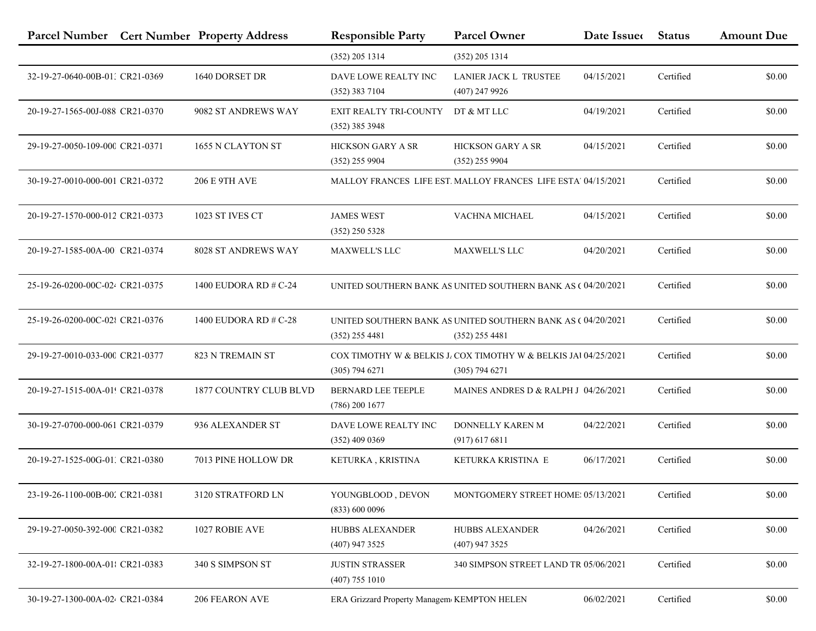|                                 | Parcel Number Cert Number Property Address | <b>Responsible Party</b>                      | <b>Parcel Owner</b>                                                                 | Date Issue | <b>Status</b> | <b>Amount Due</b> |
|---------------------------------|--------------------------------------------|-----------------------------------------------|-------------------------------------------------------------------------------------|------------|---------------|-------------------|
|                                 |                                            | $(352)$ 205 1314                              | $(352)$ 205 1314                                                                    |            |               |                   |
| 32-19-27-0640-00B-01: CR21-0369 | 1640 DORSET DR                             | DAVE LOWE REALTY INC<br>$(352)$ 383 7104      | LANIER JACK L TRUSTEE<br>$(407)$ 247 9926                                           | 04/15/2021 | Certified     | \$0.00            |
| 20-19-27-1565-00J-088 CR21-0370 | 9082 ST ANDREWS WAY                        | EXIT REALTY TRI-COUNTY<br>$(352)$ 385 3948    | DT & MT LLC                                                                         | 04/19/2021 | Certified     | \$0.00            |
| 29-19-27-0050-109-000 CR21-0371 | 1655 N CLAYTON ST                          | <b>HICKSON GARY A SR</b><br>$(352)$ 255 9904  | <b>HICKSON GARY A SR</b><br>$(352)$ 255 9904                                        | 04/15/2021 | Certified     | \$0.00            |
| 30-19-27-0010-000-001 CR21-0372 | <b>206 E 9TH AVE</b>                       |                                               | MALLOY FRANCES LIFE EST. MALLOY FRANCES LIFE ESTA' 04/15/2021                       |            | Certified     | \$0.00            |
| 20-19-27-1570-000-012 CR21-0373 | 1023 ST IVES CT                            | <b>JAMES WEST</b><br>$(352)$ 250 5328         | VACHNA MICHAEL                                                                      | 04/15/2021 | Certified     | \$0.00            |
| 20-19-27-1585-00A-00 CR21-0374  | 8028 ST ANDREWS WAY                        | <b>MAXWELL'S LLC</b>                          | <b>MAXWELL'S LLC</b>                                                                | 04/20/2021 | Certified     | \$0.00            |
| 25-19-26-0200-00C-024 CR21-0375 | 1400 EUDORA RD # C-24                      |                                               | UNITED SOUTHERN BANK AS UNITED SOUTHERN BANK AS (04/20/2021                         |            | Certified     | \$0.00            |
| 25-19-26-0200-00C-02{ CR21-0376 | 1400 EUDORA RD # C-28                      | $(352)$ 255 4481                              | UNITED SOUTHERN BANK AS UNITED SOUTHERN BANK AS C 04/20/2021<br>$(352)$ 255 4481    |            | Certified     | \$0.00            |
| 29-19-27-0010-033-000 CR21-0377 | 823 N TREMAIN ST                           | $(305)$ 794 6271                              | COX TIMOTHY W & BELKIS J. COX TIMOTHY W & BELKIS JAI 04/25/2021<br>$(305)$ 794 6271 |            | Certified     | \$0.00            |
| 20-19-27-1515-00A-01! CR21-0378 | <b>1877 COUNTRY CLUB BLVD</b>              | <b>BERNARD LEE TEEPLE</b><br>$(786)$ 200 1677 | MAINES ANDRES D & RALPH J 04/26/2021                                                |            | Certified     | \$0.00            |
| 30-19-27-0700-000-061 CR21-0379 | 936 ALEXANDER ST                           | DAVE LOWE REALTY INC<br>$(352)$ 409 0369      | DONNELLY KAREN M<br>$(917)$ 617 6811                                                | 04/22/2021 | Certified     | \$0.00            |
| 20-19-27-1525-00G-01, CR21-0380 | 7013 PINE HOLLOW DR                        | KETURKA, KRISTINA                             | KETURKA KRISTINA E                                                                  | 06/17/2021 | Certified     | \$0.00            |
| 23-19-26-1100-00B-002 CR21-0381 | 3120 STRATFORD LN                          | YOUNGBLOOD, DEVON<br>(833) 600 0096           | MONTGOMERY STREET HOME: 05/13/2021                                                  |            | Certified     | \$0.00            |
| 29-19-27-0050-392-000 CR21-0382 | 1027 ROBIE AVE                             | HUBBS ALEXANDER<br>$(407)$ 947 3525           | HUBBS ALEXANDER<br>(407) 947 3525                                                   | 04/26/2021 | Certified     | \$0.00            |
| 32-19-27-1800-00A-01 CR21-0383  | 340 S SIMPSON ST                           | <b>JUSTIN STRASSER</b><br>$(407)$ 755 1010    | 340 SIMPSON STREET LAND TR 05/06/2021                                               |            | Certified     | \$0.00            |
| 30-19-27-1300-00A-02/ CR21-0384 | 206 FEARON AVE                             | ERA Grizzard Property Managem KEMPTON HELEN   |                                                                                     | 06/02/2021 | Certified     | \$0.00            |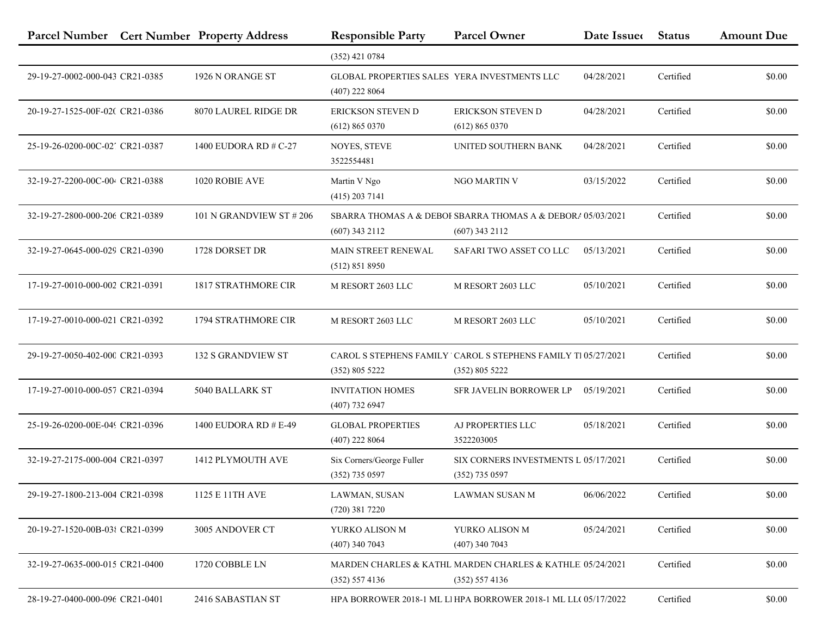|                                 | Parcel Number Cert Number Property Address | <b>Responsible Party</b>                                         | <b>Parcel Owner</b>                                                             | Date Issue | <b>Status</b> | <b>Amount Due</b> |
|---------------------------------|--------------------------------------------|------------------------------------------------------------------|---------------------------------------------------------------------------------|------------|---------------|-------------------|
|                                 |                                            | $(352)$ 421 0784                                                 |                                                                                 |            |               |                   |
| 29-19-27-0002-000-043 CR21-0385 | 1926 N ORANGE ST                           | GLOBAL PROPERTIES SALES YERA INVESTMENTS LLC<br>$(407)$ 222 8064 |                                                                                 | 04/28/2021 | Certified     | \$0.00            |
| 20-19-27-1525-00F-02(CR21-0386  | 8070 LAUREL RIDGE DR                       | ERICKSON STEVEN D<br>(612) 865 0370                              | ERICKSON STEVEN D<br>(612) 865 0370                                             | 04/28/2021 | Certified     | \$0.00            |
| 25-19-26-0200-00C-02' CR21-0387 | 1400 EUDORA RD # C-27                      | <b>NOYES, STEVE</b><br>3522554481                                | UNITED SOUTHERN BANK                                                            | 04/28/2021 | Certified     | \$0.00            |
| 32-19-27-2200-00C-00 CR21-0388  | 1020 ROBIE AVE                             | Martin V Ngo<br>$(415)$ 203 7141                                 | NGO MARTIN V                                                                    | 03/15/2022 | Certified     | \$0.00            |
| 32-19-27-2800-000-206 CR21-0389 | 101 N GRANDVIEW ST #206                    | $(607)$ 343 2112                                                 | SBARRA THOMAS A & DEBOI SBARRA THOMAS A & DEBORA 05/03/2021<br>$(607)$ 343 2112 |            | Certified     | \$0.00            |
| 32-19-27-0645-000-029 CR21-0390 | 1728 DORSET DR                             | <b>MAIN STREET RENEWAL</b><br>(512) 851 8950                     | SAFARI TWO ASSET CO LLC                                                         | 05/13/2021 | Certified     | \$0.00            |
| 17-19-27-0010-000-002 CR21-0391 | 1817 STRATHMORE CIR                        | M RESORT 2603 LLC                                                | M RESORT 2603 LLC                                                               | 05/10/2021 | Certified     | \$0.00            |
| 17-19-27-0010-000-021 CR21-0392 | 1794 STRATHMORE CIR                        | M RESORT 2603 LLC                                                | M RESORT 2603 LLC                                                               | 05/10/2021 | Certified     | \$0.00            |
| 29-19-27-0050-402-000 CR21-0393 | <b>132 S GRANDVIEW ST</b>                  | (352) 805 5222                                                   | CAROL S STEPHENS FAMILY CAROL S STEPHENS FAMILY T105/27/2021<br>(352) 805 5222  |            | Certified     | \$0.00            |
| 17-19-27-0010-000-057 CR21-0394 | 5040 BALLARK ST                            | <b>INVITATION HOMES</b><br>$(407)$ 732 6947                      | SFR JAVELIN BORROWER LP                                                         | 05/19/2021 | Certified     | \$0.00            |
| 25-19-26-0200-00E-049 CR21-0396 | 1400 EUDORA RD # E-49                      | <b>GLOBAL PROPERTIES</b><br>$(407)$ 222 8064                     | AJ PROPERTIES LLC<br>3522203005                                                 | 05/18/2021 | Certified     | \$0.00            |
| 32-19-27-2175-000-004 CR21-0397 | 1412 PLYMOUTH AVE                          | Six Corners/George Fuller<br>$(352)$ 735 0597                    | SIX CORNERS INVESTMENTS L 05/17/2021<br>$(352)$ 735 0597                        |            | Certified     | \$0.00            |
| 29-19-27-1800-213-004 CR21-0398 | 1125 E 11TH AVE                            | LAWMAN, SUSAN<br>$(720)$ 381 7220                                | LAWMAN SUSAN M                                                                  | 06/06/2022 | Certified     | \$0.00            |
| 20-19-27-1520-00B-03{ CR21-0399 | 3005 ANDOVER CT                            | YURKO ALISON M<br>$(407)$ 340 7043                               | YURKO ALISON M<br>$(407)$ 340 7043                                              | 05/24/2021 | Certified     | \$0.00            |
| 32-19-27-0635-000-015 CR21-0400 | 1720 COBBLE LN                             | (352) 557 4136                                                   | MARDEN CHARLES & KATHL MARDEN CHARLES & KATHLE 05/24/2021<br>(352) 557 4136     |            | Certified     | \$0.00            |
| 28-19-27-0400-000-096 CR21-0401 | 2416 SABASTIAN ST                          |                                                                  | HPA BORROWER 2018-1 ML LI HPA BORROWER 2018-1 ML LLC 05/17/2022                 |            | Certified     | \$0.00            |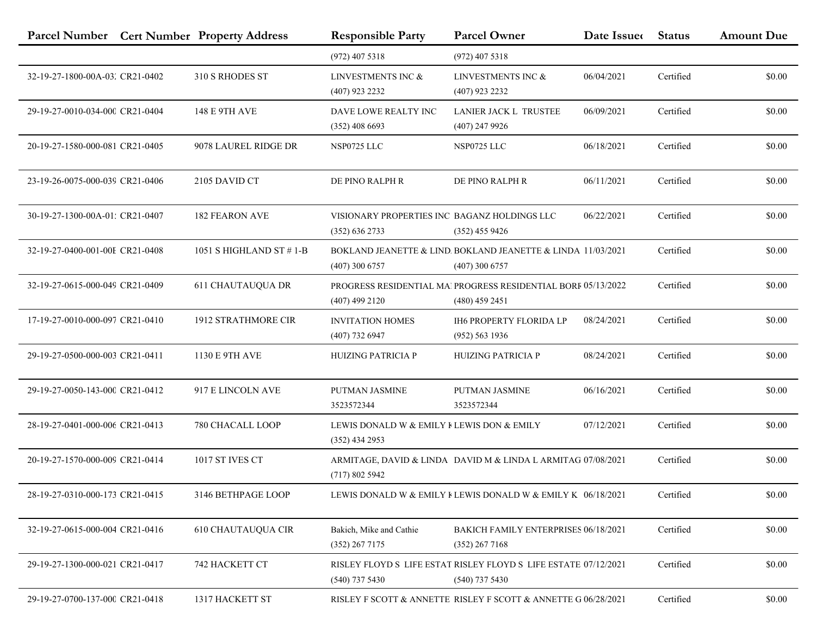|                                 | Parcel Number Cert Number Property Address | <b>Responsible Party</b>                                       | <b>Parcel Owner</b>                                                                     | Date Issue | <b>Status</b> | <b>Amount Due</b> |
|---------------------------------|--------------------------------------------|----------------------------------------------------------------|-----------------------------------------------------------------------------------------|------------|---------------|-------------------|
|                                 |                                            | $(972)$ 407 5318                                               | $(972)$ 407 5318                                                                        |            |               |                   |
| 32-19-27-1800-00A-03. CR21-0402 | 310 S RHODES ST                            | LINVESTMENTS INC &<br>$(407)$ 923 2232                         | LINVESTMENTS INC &<br>$(407)$ 923 2232                                                  | 06/04/2021 | Certified     | \$0.00            |
| 29-19-27-0010-034-000 CR21-0404 | <b>148 E 9TH AVE</b>                       | DAVE LOWE REALTY INC<br>$(352)$ 408 6693                       | LANIER JACK L TRUSTEE<br>$(407)$ 247 9926                                               | 06/09/2021 | Certified     | \$0.00            |
| 20-19-27-1580-000-081 CR21-0405 | 9078 LAUREL RIDGE DR                       | NSP0725 LLC                                                    | NSP0725 LLC                                                                             | 06/18/2021 | Certified     | \$0.00            |
| 23-19-26-0075-000-039 CR21-0406 | 2105 DAVID CT                              | DE PINO RALPH R                                                | DE PINO RALPH R                                                                         | 06/11/2021 | Certified     | \$0.00            |
| 30-19-27-1300-00A-01; CR21-0407 | <b>182 FEARON AVE</b>                      | VISIONARY PROPERTIES INC BAGANZ HOLDINGS LLC<br>(352) 636 2733 | $(352)$ 455 9426                                                                        | 06/22/2021 | Certified     | \$0.00            |
| 32-19-27-0400-001-00E CR21-0408 | 1051 S HIGHLAND ST $# 1-B$                 | $(407)$ 300 6757                                               | BOKLAND JEANETTE & LIND. BOKLAND JEANETTE & LINDA 11/03/2021<br>$(407)$ 300 6757        |            | Certified     | \$0.00            |
| 32-19-27-0615-000-049 CR21-0409 | <b>611 CHAUTAUQUA DR</b>                   | $(407)$ 499 2120                                               | <b>PROGRESS RESIDENTIAL MA PROGRESS RESIDENTIAL BORF 05/13/2022</b><br>$(480)$ 459 2451 |            | Certified     | \$0.00            |
| 17-19-27-0010-000-097 CR21-0410 | 1912 STRATHMORE CIR                        | <b>INVITATION HOMES</b><br>$(407)$ 732 6947                    | <b>IH6 PROPERTY FLORIDA LP</b><br>(952) 563 1936                                        | 08/24/2021 | Certified     | \$0.00            |
| 29-19-27-0500-000-003 CR21-0411 | 1130 E 9TH AVE                             | <b>HUIZING PATRICIA P</b>                                      | <b>HUIZING PATRICIA P</b>                                                               | 08/24/2021 | Certified     | \$0.00            |
| 29-19-27-0050-143-000 CR21-0412 | 917 E LINCOLN AVE                          | PUTMAN JASMINE<br>3523572344                                   | PUTMAN JASMINE<br>3523572344                                                            | 06/16/2021 | Certified     | \$0.00            |
| 28-19-27-0401-000-006 CR21-0413 | 780 CHACALL LOOP                           | LEWIS DONALD W & EMILY I LEWIS DON & EMILY<br>$(352)$ 434 2953 |                                                                                         | 07/12/2021 | Certified     | \$0.00            |
| 20-19-27-1570-000-009 CR21-0414 | 1017 ST IVES CT                            | (717)8025942                                                   | ARMITAGE, DAVID & LINDA DAVID M & LINDA L ARMITAG 07/08/2021                            |            | Certified     | \$0.00            |
| 28-19-27-0310-000-173 CR21-0415 | 3146 BETHPAGE LOOP                         |                                                                | LEWIS DONALD W & EMILY FLEWIS DONALD W & EMILY K $06/18/2021$                           |            | Certified     | \$0.00            |
| 32-19-27-0615-000-004 CR21-0416 | <b>610 CHAUTAUQUA CIR</b>                  | Bakich, Mike and Cathie<br>$(352)$ 267 7175                    | BAKICH FAMILY ENTERPRISES 06/18/2021<br>$(352)$ 267 7168                                |            | Certified     | \$0.00            |
| 29-19-27-1300-000-021 CR21-0417 | 742 HACKETT CT                             | $(540)$ 737 5430                                               | RISLEY FLOYD S LIFE ESTAT RISLEY FLOYD S LIFE ESTATE 07/12/2021<br>$(540)$ 737 5430     |            | Certified     | \$0.00            |
| 29-19-27-0700-137-000 CR21-0418 | 1317 HACKETT ST                            |                                                                | RISLEY F SCOTT & ANNETTE RISLEY F SCOTT & ANNETTE G 06/28/2021                          |            | Certified     | \$0.00            |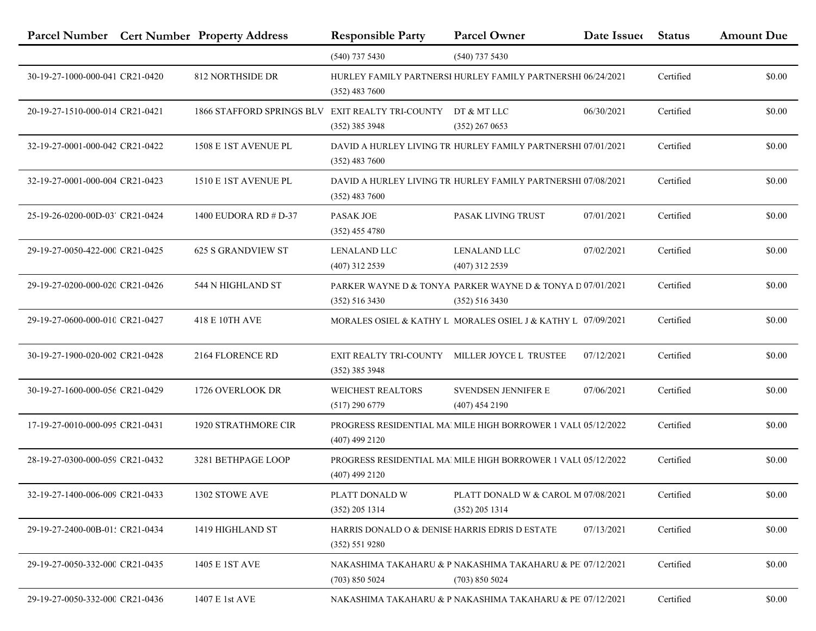|                                 | Parcel Number Cert Number Property Address       | <b>Responsible Party</b>                                          | <b>Parcel Owner</b>                                                          | Date Issue | <b>Status</b> | <b>Amount Due</b> |
|---------------------------------|--------------------------------------------------|-------------------------------------------------------------------|------------------------------------------------------------------------------|------------|---------------|-------------------|
|                                 |                                                  | $(540)$ 737 5430                                                  | $(540)$ 737 5430                                                             |            |               |                   |
| 30-19-27-1000-000-041 CR21-0420 | 812 NORTHSIDE DR                                 | $(352)$ 483 7600                                                  | HURLEY FAMILY PARTNERSI HURLEY FAMILY PARTNERSHI 06/24/2021                  |            | Certified     | \$0.00            |
| 20-19-27-1510-000-014 CR21-0421 | 1866 STAFFORD SPRINGS BLV EXIT REALTY TRI-COUNTY | $(352)$ 385 3948                                                  | DT & MT LLC<br>$(352)$ 267 0653                                              | 06/30/2021 | Certified     | \$0.00            |
| 32-19-27-0001-000-042 CR21-0422 | 1508 E 1ST AVENUE PL                             | $(352)$ 483 7600                                                  | DAVID A HURLEY LIVING TR HURLEY FAMILY PARTNERSHI 07/01/2021                 |            | Certified     | \$0.00            |
| 32-19-27-0001-000-004 CR21-0423 | 1510 E 1ST AVENUE PL                             | $(352)$ 483 7600                                                  | DAVID A HURLEY LIVING TR HURLEY FAMILY PARTNERSHI 07/08/2021                 |            | Certified     | \$0.00            |
| 25-19-26-0200-00D-03' CR21-0424 | 1400 EUDORA RD # D-37                            | <b>PASAK JOE</b><br>$(352)$ 455 4780                              | PASAK LIVING TRUST                                                           | 07/01/2021 | Certified     | \$0.00            |
| 29-19-27-0050-422-000 CR21-0425 | <b>625 S GRANDVIEW ST</b>                        | <b>LENALAND LLC</b><br>$(407)$ 312 2539                           | <b>LENALAND LLC</b><br>(407) 312 2539                                        | 07/02/2021 | Certified     | \$0.00            |
| 29-19-27-0200-000-020 CR21-0426 | 544 N HIGHLAND ST                                | $(352)$ 516 3430                                                  | PARKER WAYNE D & TONYA PARKER WAYNE D & TONYA D 07/01/2021<br>(352) 516 3430 |            | Certified     | \$0.00            |
| 29-19-27-0600-000-010 CR21-0427 | 418 E 10TH AVE                                   |                                                                   | MORALES OSIEL & KATHY L MORALES OSIEL J & KATHY L 07/09/2021                 |            | Certified     | \$0.00            |
| 30-19-27-1900-020-002 CR21-0428 | 2164 FLORENCE RD                                 | EXIT REALTY TRI-COUNTY MILLER JOYCE L TRUSTEE<br>$(352)$ 385 3948 |                                                                              | 07/12/2021 | Certified     | \$0.00            |
| 30-19-27-1600-000-056 CR21-0429 | 1726 OVERLOOK DR                                 | <b>WEICHEST REALTORS</b><br>$(517)$ 290 6779                      | SVENDSEN JENNIFER E<br>$(407)$ 454 2190                                      | 07/06/2021 | Certified     | \$0.00            |
| 17-19-27-0010-000-095 CR21-0431 | <b>1920 STRATHMORE CIR</b>                       | $(407)$ 499 2120                                                  | PROGRESS RESIDENTIAL MA MILE HIGH BORROWER 1 VALU 05/12/2022                 |            | Certified     | \$0.00            |
| 28-19-27-0300-000-059 CR21-0432 | 3281 BETHPAGE LOOP                               | $(407)$ 499 2120                                                  | <b>PROGRESS RESIDENTIAL MA MILE HIGH BORROWER 1 VALL 05/12/2022</b>          |            | Certified     | \$0.00            |
| 32-19-27-1400-006-009 CR21-0433 | 1302 STOWE AVE                                   | PLATT DONALD W<br>$(352)$ 205 1314                                | PLATT DONALD W & CAROL M 07/08/2021<br>$(352)$ 205 1314                      |            | Certified     | \$0.00            |
| 29-19-27-2400-00B-01: CR21-0434 | 1419 HIGHLAND ST                                 | HARRIS DONALD O & DENISE HARRIS EDRIS D ESTATE<br>(352) 551 9280  |                                                                              | 07/13/2021 | Certified     | \$0.00            |
| 29-19-27-0050-332-000 CR21-0435 | 1405 E 1ST AVE                                   | (703) 850 5024                                                    | NAKASHIMA TAKAHARU & P NAKASHIMA TAKAHARU & PE 07/12/2021<br>(703) 850 5024  |            | Certified     | \$0.00            |
| 29-19-27-0050-332-000 CR21-0436 | 1407 E 1st AVE                                   |                                                                   | NAKASHIMA TAKAHARU & P NAKASHIMA TAKAHARU & PE 07/12/2021                    |            | Certified     | \$0.00            |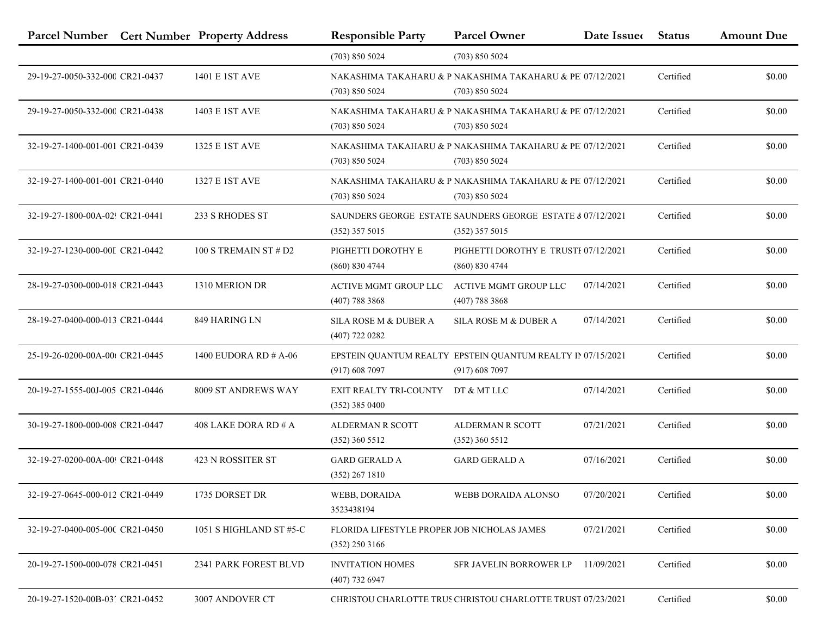|                                 | Parcel Number Cert Number Property Address | <b>Responsible Party</b>                                        | <b>Parcel Owner</b>                                                            | Date Issue | <b>Status</b> | <b>Amount Due</b> |
|---------------------------------|--------------------------------------------|-----------------------------------------------------------------|--------------------------------------------------------------------------------|------------|---------------|-------------------|
|                                 |                                            | (703) 850 5024                                                  | (703) 850 5024                                                                 |            |               |                   |
| 29-19-27-0050-332-000 CR21-0437 | 1401 E 1ST AVE                             | (703) 850 5024                                                  | NAKASHIMA TAKAHARU & P NAKASHIMA TAKAHARU & PE 07/12/2021<br>(703) 850 5024    |            | Certified     | \$0.00            |
| 29-19-27-0050-332-000 CR21-0438 | 1403 E 1ST AVE                             | (703) 850 5024                                                  | NAKASHIMA TAKAHARU & P NAKASHIMA TAKAHARU & PE 07/12/2021<br>(703) 850 5024    |            | Certified     | \$0.00            |
| 32-19-27-1400-001-001 CR21-0439 | 1325 E 1ST AVE                             | (703) 850 5024                                                  | NAKASHIMA TAKAHARU & P NAKASHIMA TAKAHARU & PE 07/12/2021<br>(703) 850 5024    |            | Certified     | \$0.00            |
| 32-19-27-1400-001-001 CR21-0440 | 1327 E 1ST AVE                             | (703) 850 5024                                                  | NAKASHIMA TAKAHARU & P NAKASHIMA TAKAHARU & PE 07/12/2021<br>(703) 850 5024    |            | Certified     | \$0.00            |
| 32-19-27-1800-00A-02! CR21-0441 | 233 S RHODES ST                            | $(352)$ 357 5015                                                | SAUNDERS GEORGE ESTATE SAUNDERS GEORGE ESTATE & 07/12/2021<br>$(352)$ 357 5015 |            | Certified     | \$0.00            |
| 32-19-27-1230-000-00I CR21-0442 | 100 S TREMAIN ST # D2                      | PIGHETTI DOROTHY E<br>(860) 830 4744                            | PIGHETTI DOROTHY E TRUSTE 07/12/2021<br>(860) 830 4744                         |            | Certified     | \$0.00            |
| 28-19-27-0300-000-018 CR21-0443 | 1310 MERION DR                             | ACTIVE MGMT GROUP LLC<br>$(407)$ 788 3868                       | <b>ACTIVE MGMT GROUP LLC</b><br>$(407)$ 788 3868                               | 07/14/2021 | Certified     | \$0.00            |
| 28-19-27-0400-000-013 CR21-0444 | 849 HARING LN                              | SILA ROSE M & DUBER A<br>$(407)$ 722 0282                       | SILA ROSE M & DUBER A                                                          | 07/14/2021 | Certified     | \$0.00            |
| 25-19-26-0200-00A-00t CR21-0445 | 1400 EUDORA RD # A-06                      | (917) 608 7097                                                  | EPSTEIN QUANTUM REALTY EPSTEIN QUANTUM REALTY IN 07/15/2021<br>(917) 608 7097  |            | Certified     | \$0.00            |
| 20-19-27-1555-00J-005 CR21-0446 | 8009 ST ANDREWS WAY                        | EXIT REALTY TRI-COUNTY<br>$(352)$ 385 0400                      | DT & MT LLC                                                                    | 07/14/2021 | Certified     | \$0.00            |
| 30-19-27-1800-000-008 CR21-0447 | 408 LAKE DORA RD # A                       | <b>ALDERMAN R SCOTT</b><br>$(352)$ 360 5512                     | ALDERMAN R SCOTT<br>$(352)$ 360 5512                                           | 07/21/2021 | Certified     | \$0.00            |
| 32-19-27-0200-00A-00! CR21-0448 | 423 N ROSSITER ST                          | <b>GARD GERALD A</b><br>(352) 267 1810                          | <b>GARD GERALD A</b>                                                           | 07/16/2021 | Certified     | \$0.00            |
| 32-19-27-0645-000-012 CR21-0449 | 1735 DORSET DR                             | WEBB, DORAIDA<br>3523438194                                     | WEBB DORAIDA ALONSO                                                            | 07/20/2021 | Certified     | \$0.00            |
| 32-19-27-0400-005-00C CR21-0450 | 1051 S HIGHLAND ST #5-C                    | FLORIDA LIFESTYLE PROPER JOB NICHOLAS JAMES<br>$(352)$ 250 3166 |                                                                                | 07/21/2021 | Certified     | \$0.00            |
| 20-19-27-1500-000-078 CR21-0451 | 2341 PARK FOREST BLVD                      | <b>INVITATION HOMES</b><br>$(407)$ 732 6947                     | <b>SFR JAVELIN BORROWER LP</b>                                                 | 11/09/2021 | Certified     | \$0.00            |
| 20-19-27-1520-00B-03' CR21-0452 | 3007 ANDOVER CT                            |                                                                 | CHRISTOU CHARLOTTE TRUS CHRISTOU CHARLOTTE TRUST 07/23/2021                    |            | Certified     | \$0.00            |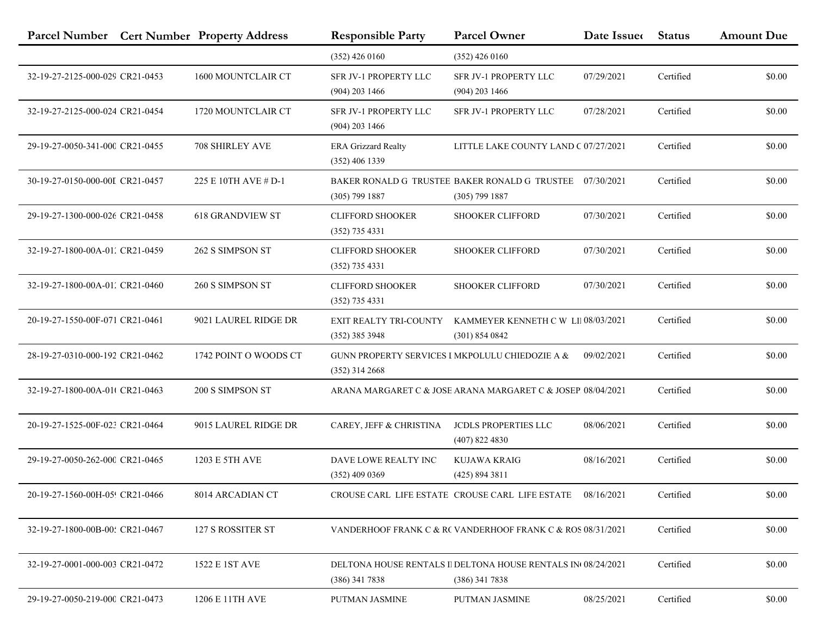|                                 | Parcel Number Cert Number Property Address | <b>Responsible Party</b>                                            | <b>Parcel Owner</b>                                                             | Date Issue | <b>Status</b> | <b>Amount Due</b> |
|---------------------------------|--------------------------------------------|---------------------------------------------------------------------|---------------------------------------------------------------------------------|------------|---------------|-------------------|
|                                 |                                            | $(352)$ 426 0160                                                    | $(352)$ 426 0160                                                                |            |               |                   |
| 32-19-27-2125-000-029 CR21-0453 | 1600 MOUNTCLAIR CT                         | SFR JV-1 PROPERTY LLC<br>$(904)$ 203 1466                           | SFR JV-1 PROPERTY LLC<br>$(904)$ 203 1466                                       | 07/29/2021 | Certified     | \$0.00            |
| 32-19-27-2125-000-024 CR21-0454 | 1720 MOUNTCLAIR CT                         | SFR JV-1 PROPERTY LLC<br>$(904)$ 203 1466                           | SFR JV-1 PROPERTY LLC                                                           | 07/28/2021 | Certified     | \$0.00            |
| 29-19-27-0050-341-000 CR21-0455 | 708 SHIRLEY AVE                            | <b>ERA Grizzard Realty</b><br>$(352)$ 406 1339                      | LITTLE LAKE COUNTY LAND C 07/27/2021                                            |            | Certified     | \$0.00            |
| 30-19-27-0150-000-00I CR21-0457 | 225 E 10TH AVE # D-1                       | $(305)$ 799 1887                                                    | BAKER RONALD G TRUSTEE BAKER RONALD G TRUSTEE<br>$(305)$ 799 1887               | 07/30/2021 | Certified     | \$0.00            |
| 29-19-27-1300-000-026 CR21-0458 | <b>618 GRANDVIEW ST</b>                    | <b>CLIFFORD SHOOKER</b><br>$(352)$ 735 4331                         | <b>SHOOKER CLIFFORD</b>                                                         | 07/30/2021 | Certified     | \$0.00            |
| 32-19-27-1800-00A-01. CR21-0459 | 262 S SIMPSON ST                           | <b>CLIFFORD SHOOKER</b><br>$(352)$ 735 4331                         | <b>SHOOKER CLIFFORD</b>                                                         | 07/30/2021 | Certified     | \$0.00            |
| 32-19-27-1800-00A-01. CR21-0460 | 260 S SIMPSON ST                           | <b>CLIFFORD SHOOKER</b><br>$(352)$ 735 4331                         | SHOOKER CLIFFORD                                                                | 07/30/2021 | Certified     | \$0.00            |
| 20-19-27-1550-00F-071 CR21-0461 | 9021 LAUREL RIDGE DR                       | EXIT REALTY TRI-COUNTY<br>$(352)$ 385 3948                          | KAMMEYER KENNETH C W LII 08/03/2021<br>(301) 854 0842                           |            | Certified     | \$0.00            |
| 28-19-27-0310-000-192 CR21-0462 | 1742 POINT O WOODS CT                      | GUNN PROPERTY SERVICES I MKPOLULU CHIEDOZIE A &<br>$(352)$ 314 2668 |                                                                                 | 09/02/2021 | Certified     | \$0.00            |
| 32-19-27-1800-00A-01(CR21-0463  | 200 S SIMPSON ST                           |                                                                     | ARANA MARGARET C & JOSE ARANA MARGARET C & JOSEP 08/04/2021                     |            | Certified     | \$0.00            |
| 20-19-27-1525-00F-023 CR21-0464 | 9015 LAUREL RIDGE DR                       | CAREY, JEFF & CHRISTINA                                             | <b>JCDLS PROPERTIES LLC</b><br>$(407)$ 822 4830                                 | 08/06/2021 | Certified     | \$0.00            |
| 29-19-27-0050-262-000 CR21-0465 | 1203 E 5TH AVE                             | DAVE LOWE REALTY INC<br>$(352)$ 409 0369                            | KUJAWA KRAIG<br>(425) 894 3811                                                  | 08/16/2021 | Certified     | \$0.00            |
| 20-19-27-1560-00H-05! CR21-0466 | 8014 ARCADIAN CT                           |                                                                     | CROUSE CARL LIFE ESTATE CROUSE CARL LIFE ESTATE 08/16/2021                      |            | Certified     | \$0.00            |
| 32-19-27-1800-00B-00; CR21-0467 | 127 S ROSSITER ST                          |                                                                     | VANDERHOOF FRANK C & RC VANDERHOOF FRANK C & ROS 08/31/2021                     |            | Certified     | \$0.00            |
| 32-19-27-0001-000-003 CR21-0472 | 1522 E 1ST AVE                             | $(386)$ 341 7838                                                    | DELTONA HOUSE RENTALS I DELTONA HOUSE RENTALS IN 08/24/2021<br>$(386)$ 341 7838 |            | Certified     | \$0.00            |
| 29-19-27-0050-219-000 CR21-0473 | 1206 E 11TH AVE                            | PUTMAN JASMINE                                                      | PUTMAN JASMINE                                                                  | 08/25/2021 | Certified     | \$0.00            |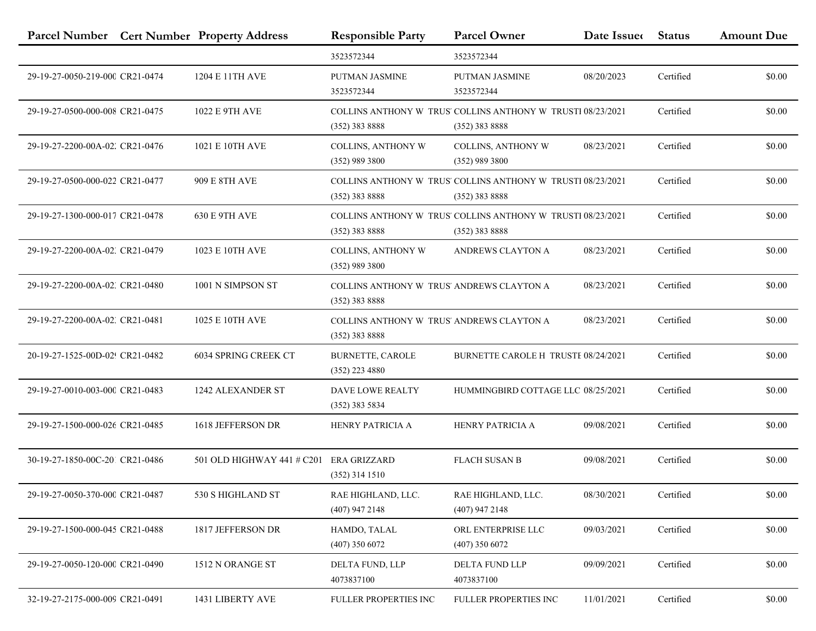|                                 | Parcel Number Cert Number Property Address | <b>Responsible Party</b>                                      | <b>Parcel Owner</b>                                                             | Date Issue | <b>Status</b> | <b>Amount Due</b> |
|---------------------------------|--------------------------------------------|---------------------------------------------------------------|---------------------------------------------------------------------------------|------------|---------------|-------------------|
|                                 |                                            | 3523572344                                                    | 3523572344                                                                      |            |               |                   |
| 29-19-27-0050-219-000 CR21-0474 | 1204 E 11TH AVE                            | PUTMAN JASMINE<br>3523572344                                  | PUTMAN JASMINE<br>3523572344                                                    | 08/20/2023 | Certified     | \$0.00            |
| 29-19-27-0500-000-008 CR21-0475 | 1022 E 9TH AVE                             | $(352)$ 383 8888                                              | COLLINS ANTHONY W TRUS' COLLINS ANTHONY W TRUSTI 08/23/2021<br>$(352)$ 383 8888 |            | Certified     | \$0.00            |
| 29-19-27-2200-00A-02. CR21-0476 | 1021 E 10TH AVE                            | <b>COLLINS, ANTHONY W</b><br>$(352)$ 989 3800                 | COLLINS, ANTHONY W<br>$(352)$ 989 3800                                          | 08/23/2021 | Certified     | \$0.00            |
| 29-19-27-0500-000-022 CR21-0477 | 909 E 8TH AVE                              | (352) 383 8888                                                | COLLINS ANTHONY W TRUS' COLLINS ANTHONY W TRUSTI 08/23/2021<br>$(352)$ 383 8888 |            | Certified     | \$0.00            |
| 29-19-27-1300-000-017 CR21-0478 | <b>630 E 9TH AVE</b>                       | $(352)$ 383 8888                                              | COLLINS ANTHONY W TRUS' COLLINS ANTHONY W TRUSTI 08/23/2021<br>(352) 383 8888   |            | Certified     | \$0.00            |
| 29-19-27-2200-00A-02, CR21-0479 | 1023 E 10TH AVE                            | <b>COLLINS, ANTHONY W</b><br>$(352)$ 989 3800                 | ANDREWS CLAYTON A                                                               | 08/23/2021 | Certified     | \$0.00            |
| 29-19-27-2200-00A-02, CR21-0480 | 1001 N SIMPSON ST                          | COLLINS ANTHONY W TRUS' ANDREWS CLAYTON A<br>(352) 383 8888   |                                                                                 | 08/23/2021 | Certified     | \$0.00            |
| 29-19-27-2200-00A-02, CR21-0481 | 1025 E 10TH AVE                            | COLLINS ANTHONY W TRUS' ANDREWS CLAYTON A<br>$(352)$ 383 8888 |                                                                                 | 08/23/2021 | Certified     | \$0.00            |
| 20-19-27-1525-00D-02! CR21-0482 | 6034 SPRING CREEK CT                       | <b>BURNETTE, CAROLE</b><br>$(352)$ 223 4880                   | BURNETTE CAROLE H TRUSTE 08/24/2021                                             |            | Certified     | \$0.00            |
| 29-19-27-0010-003-000 CR21-0483 | 1242 ALEXANDER ST                          | <b>DAVE LOWE REALTY</b><br>$(352)$ 383 5834                   | HUMMINGBIRD COTTAGE LLC 08/25/2021                                              |            | Certified     | \$0.00            |
| 29-19-27-1500-000-026 CR21-0485 | 1618 JEFFERSON DR                          | HENRY PATRICIA A                                              | HENRY PATRICIA A                                                                | 09/08/2021 | Certified     | \$0.00            |
| 30-19-27-1850-00C-201 CR21-0486 | 501 OLD HIGHWAY 441 # C201                 | <b>ERA GRIZZARD</b><br>$(352)$ 314 1510                       | <b>FLACH SUSAN B</b>                                                            | 09/08/2021 | Certified     | \$0.00            |
| 29-19-27-0050-370-000 CR21-0487 | 530 S HIGHLAND ST                          | RAE HIGHLAND, LLC.<br>$(407)$ 947 2148                        | RAE HIGHLAND, LLC.<br>$(407)$ 947 2148                                          | 08/30/2021 | Certified     | \$0.00            |
| 29-19-27-1500-000-045 CR21-0488 | 1817 JEFFERSON DR                          | HAMDO, TALAL<br>$(407)$ 350 6072                              | ORL ENTERPRISE LLC<br>$(407)$ 350 6072                                          | 09/03/2021 | Certified     | \$0.00            |
| 29-19-27-0050-120-000 CR21-0490 | 1512 N ORANGE ST                           | DELTA FUND, LLP<br>4073837100                                 | DELTA FUND LLP<br>4073837100                                                    | 09/09/2021 | Certified     | \$0.00            |
| 32-19-27-2175-000-009 CR21-0491 | 1431 LIBERTY AVE                           | FULLER PROPERTIES INC                                         | FULLER PROPERTIES INC                                                           | 11/01/2021 | Certified     | \$0.00            |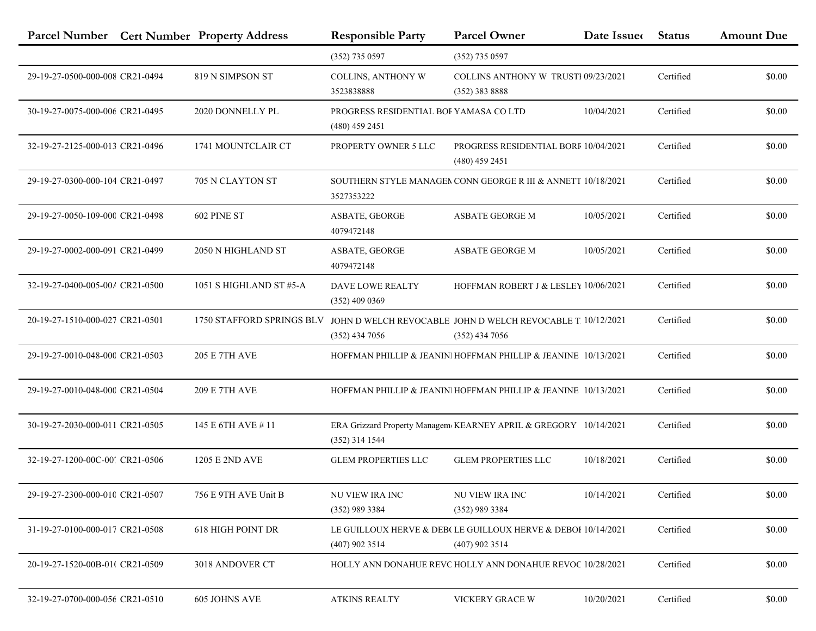|                                 | Parcel Number Cert Number Property Address | <b>Responsible Party</b>                                   | <b>Parcel Owner</b>                                                              | Date Issue | <b>Status</b> | <b>Amount Due</b> |
|---------------------------------|--------------------------------------------|------------------------------------------------------------|----------------------------------------------------------------------------------|------------|---------------|-------------------|
|                                 |                                            | $(352)$ 735 0597                                           | $(352)$ 735 0597                                                                 |            |               |                   |
| 29-19-27-0500-000-008 CR21-0494 | 819 N SIMPSON ST                           | COLLINS, ANTHONY W<br>3523838888                           | <b>COLLINS ANTHONY W TRUSTI 09/23/2021</b><br>$(352)$ 383 8888                   |            | Certified     | \$0.00            |
| 30-19-27-0075-000-006 CR21-0495 | 2020 DONNELLY PL                           | PROGRESS RESIDENTIAL BOI YAMASA CO LTD<br>$(480)$ 459 2451 |                                                                                  | 10/04/2021 | Certified     | \$0.00            |
| 32-19-27-2125-000-013 CR21-0496 | 1741 MOUNTCLAIR CT                         | PROPERTY OWNER 5 LLC                                       | PROGRESS RESIDENTIAL BORF 10/04/2021<br>$(480)$ 459 2451                         |            | Certified     | \$0.00            |
| 29-19-27-0300-000-104 CR21-0497 | 705 N CLAYTON ST                           | 3527353222                                                 | SOUTHERN STYLE MANAGEN CONN GEORGE R III & ANNETT 10/18/2021                     |            | Certified     | \$0.00            |
| 29-19-27-0050-109-000 CR21-0498 | 602 PINE ST                                | ASBATE, GEORGE<br>4079472148                               | ASBATE GEORGE M                                                                  | 10/05/2021 | Certified     | \$0.00            |
| 29-19-27-0002-000-091 CR21-0499 | 2050 N HIGHLAND ST                         | ASBATE, GEORGE<br>4079472148                               | ASBATE GEORGE M                                                                  | 10/05/2021 | Certified     | \$0.00            |
| 32-19-27-0400-005-00/ CR21-0500 | 1051 S HIGHLAND ST #5-A                    | <b>DAVE LOWE REALTY</b><br>$(352)$ 409 0369                | HOFFMAN ROBERT J & LESLEY 10/06/2021                                             |            | Certified     | \$0.00            |
| 20-19-27-1510-000-027 CR21-0501 | 1750 STAFFORD SPRINGS BLV                  | $(352)$ 434 7056                                           | JOHN D WELCH REVOCABLE JOHN D WELCH REVOCABLE T. 10/12/2021<br>$(352)$ 434 7056  |            | Certified     | \$0.00            |
| 29-19-27-0010-048-000 CR21-0503 | <b>205 E 7TH AVE</b>                       |                                                            | HOFFMAN PHILLIP & JEANINI HOFFMAN PHILLIP & JEANINE 10/13/2021                   |            | Certified     | \$0.00            |
| 29-19-27-0010-048-000 CR21-0504 | <b>209 E 7TH AVE</b>                       |                                                            | HOFFMAN PHILLIP & JEANINI HOFFMAN PHILLIP & JEANINE 10/13/2021                   |            | Certified     | \$0.00            |
| 30-19-27-2030-000-011 CR21-0505 | 145 E 6TH AVE #11                          | $(352)$ 314 1544                                           | ERA Grizzard Property Managem KEARNEY APRIL & GREGORY 10/14/2021                 |            | Certified     | \$0.00            |
| 32-19-27-1200-00C-00' CR21-0506 | 1205 E 2ND AVE                             | <b>GLEM PROPERTIES LLC</b>                                 | <b>GLEM PROPERTIES LLC</b>                                                       | 10/18/2021 | Certified     | \$0.00            |
| 29-19-27-2300-000-010 CR21-0507 | 756 E 9TH AVE Unit B                       | <b>NU VIEW IRA INC</b><br>(352) 989 3384                   | NU VIEW IRA INC<br>(352) 989 3384                                                | 10/14/2021 | Certified     | \$0.00            |
| 31-19-27-0100-000-017 CR21-0508 | <b>618 HIGH POINT DR</b>                   | $(407)$ 902 3514                                           | LE GUILLOUX HERVE & DEB(LE GUILLOUX HERVE & DEBOI 10/14/2021<br>$(407)$ 902 3514 |            | Certified     | \$0.00            |
| 20-19-27-1520-00B-01(CR21-0509  | 3018 ANDOVER CT                            |                                                            | HOLLY ANN DONAHUE REVC HOLLY ANN DONAHUE REVOC 10/28/2021                        |            | Certified     | \$0.00            |
| 32-19-27-0700-000-056 CR21-0510 | 605 JOHNS AVE                              | <b>ATKINS REALTY</b>                                       | VICKERY GRACE W                                                                  | 10/20/2021 | Certified     | \$0.00            |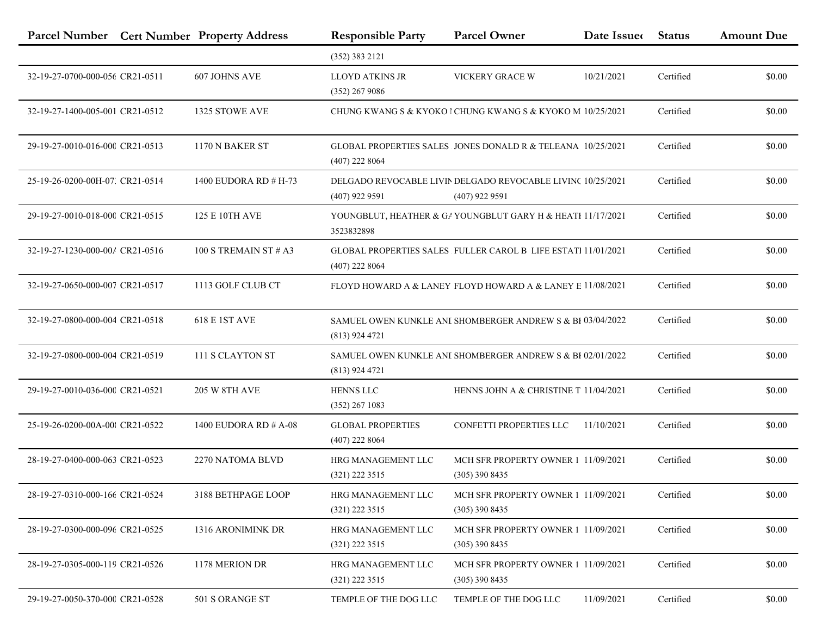|                                 | Parcel Number Cert Number Property Address | <b>Responsible Party</b>                     | <b>Parcel Owner</b>                                                             | Date Issue | <b>Status</b> | <b>Amount Due</b> |
|---------------------------------|--------------------------------------------|----------------------------------------------|---------------------------------------------------------------------------------|------------|---------------|-------------------|
|                                 |                                            | (352) 383 2121                               |                                                                                 |            |               |                   |
| 32-19-27-0700-000-056 CR21-0511 | 607 JOHNS AVE                              | <b>LLOYD ATKINS JR</b><br>$(352)$ 267 9086   | VICKERY GRACE W                                                                 | 10/21/2021 | Certified     | \$0.00            |
| 32-19-27-1400-005-001 CR21-0512 | 1325 STOWE AVE                             |                                              | CHUNG KWANG S & KYOKO I CHUNG KWANG S & KYOKO M 10/25/2021                      |            | Certified     | \$0.00            |
| 29-19-27-0010-016-000 CR21-0513 | 1170 N BAKER ST                            | $(407)$ 222 8064                             | GLOBAL PROPERTIES SALES JONES DONALD R & TELEANA 10/25/2021                     |            | Certified     | \$0.00            |
| 25-19-26-0200-00H-07. CR21-0514 | 1400 EUDORA RD # H-73                      | $(407)$ 922 9591                             | DELGADO REVOCABLE LIVIN DELGADO REVOCABLE LIVINC 10/25/2021<br>$(407)$ 922 9591 |            | Certified     | \$0.00            |
| 29-19-27-0010-018-000 CR21-0515 | 125 E 10TH AVE                             | 3523832898                                   | YOUNGBLUT, HEATHER & GA YOUNGBLUT GARY H & HEATH 11/17/2021                     |            | Certified     | \$0.00            |
| 32-19-27-1230-000-00/ CR21-0516 | 100 S TREMAIN ST $#$ A3                    | $(407)$ 222 8064                             | GLOBAL PROPERTIES SALES FULLER CAROL B LIFE ESTATI 11/01/2021                   |            | Certified     | \$0.00            |
| 32-19-27-0650-000-007 CR21-0517 | 1113 GOLF CLUB CT                          |                                              | FLOYD HOWARD A & LANEY FLOYD HOWARD A & LANEY E 11/08/2021                      |            | Certified     | \$0.00            |
| 32-19-27-0800-000-004 CR21-0518 | <b>618 E 1ST AVE</b>                       | $(813)$ 924 4721                             | SAMUEL OWEN KUNKLE ANI SHOMBERGER ANDREW S & BI 03/04/2022                      |            | Certified     | \$0.00            |
| 32-19-27-0800-000-004 CR21-0519 | 111 S CLAYTON ST                           | $(813)$ 924 4721                             | SAMUEL OWEN KUNKLE ANI SHOMBERGER ANDREW S & BI 02/01/2022                      |            | Certified     | \$0.00            |
| 29-19-27-0010-036-000 CR21-0521 | <b>205 W 8TH AVE</b>                       | <b>HENNS LLC</b><br>$(352)$ 267 1083         | HENNS JOHN A & CHRISTINE T 11/04/2021                                           |            | Certified     | \$0.00            |
| 25-19-26-0200-00A-00; CR21-0522 | 1400 EUDORA RD # A-08                      | <b>GLOBAL PROPERTIES</b><br>$(407)$ 222 8064 | CONFETTI PROPERTIES LLC                                                         | 11/10/2021 | Certified     | \$0.00            |
| 28-19-27-0400-000-063 CR21-0523 | 2270 NATOMA BLVD                           | HRG MANAGEMENT LLC<br>$(321)$ 222 3515       | MCH SFR PROPERTY OWNER 1 11/09/2021<br>$(305)$ 390 8435                         |            | Certified     | \$0.00            |
| 28-19-27-0310-000-166 CR21-0524 | 3188 BETHPAGE LOOP                         | HRG MANAGEMENT LLC<br>$(321)$ 222 3515       | MCH SFR PROPERTY OWNER 1 11/09/2021<br>$(305)$ 390 8435                         |            | Certified     | \$0.00            |
| 28-19-27-0300-000-096 CR21-0525 | 1316 ARONIMINK DR                          | HRG MANAGEMENT LLC<br>$(321)$ 222 3515       | MCH SFR PROPERTY OWNER 1 11/09/2021<br>$(305)$ 390 8435                         |            | Certified     | \$0.00            |
| 28-19-27-0305-000-119 CR21-0526 | 1178 MERION DR                             | HRG MANAGEMENT LLC<br>$(321)$ 222 3515       | MCH SFR PROPERTY OWNER 1 11/09/2021<br>$(305)$ 390 8435                         |            | Certified     | \$0.00            |
| 29-19-27-0050-370-000 CR21-0528 | 501 S ORANGE ST                            | TEMPLE OF THE DOG LLC                        | TEMPLE OF THE DOG LLC                                                           | 11/09/2021 | Certified     | \$0.00            |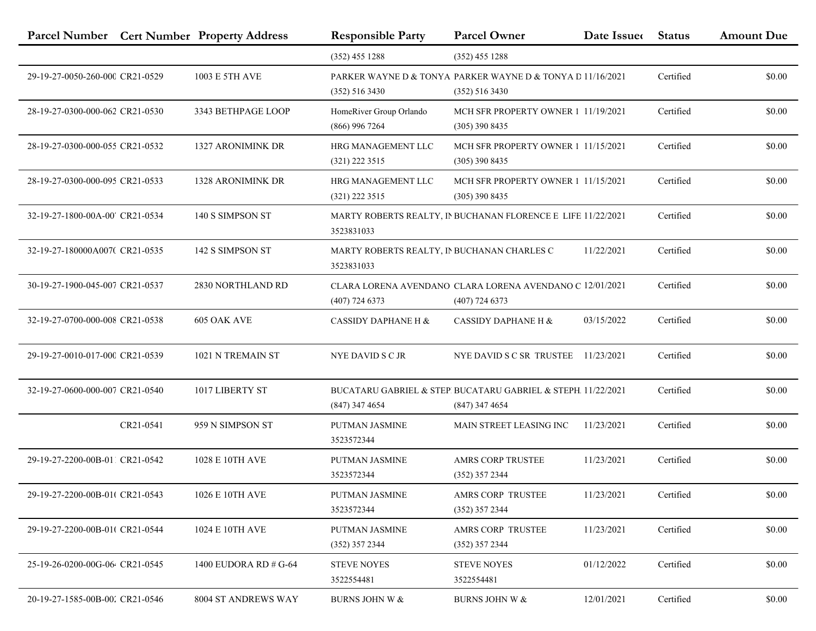|                                 |           | Parcel Number Cert Number Property Address | <b>Responsible Party</b>                                  | <b>Parcel Owner</b>                                                              | Date Issue | <b>Status</b> | <b>Amount Due</b> |
|---------------------------------|-----------|--------------------------------------------|-----------------------------------------------------------|----------------------------------------------------------------------------------|------------|---------------|-------------------|
|                                 |           |                                            | $(352)$ 455 1288                                          | $(352)$ 455 1288                                                                 |            |               |                   |
| 29-19-27-0050-260-000 CR21-0529 |           | 1003 E 5TH AVE                             | $(352)$ 516 3430                                          | PARKER WAYNE D & TONYA PARKER WAYNE D & TONYA D 11/16/2021<br>$(352)$ 516 3430   |            | Certified     | \$0.00            |
| 28-19-27-0300-000-062 CR21-0530 |           | 3343 BETHPAGE LOOP                         | HomeRiver Group Orlando<br>$(866)$ 996 7264               | MCH SFR PROPERTY OWNER 1 11/19/2021<br>$(305)$ 390 8435                          |            | Certified     | \$0.00            |
| 28-19-27-0300-000-055 CR21-0532 |           | 1327 ARONIMINK DR                          | HRG MANAGEMENT LLC<br>$(321)$ 222 3515                    | MCH SFR PROPERTY OWNER 1 11/15/2021<br>$(305)$ 390 8435                          |            | Certified     | \$0.00            |
| 28-19-27-0300-000-095 CR21-0533 |           | <b>1328 ARONIMINK DR</b>                   | HRG MANAGEMENT LLC<br>(321) 222 3515                      | MCH SFR PROPERTY OWNER 1 11/15/2021<br>$(305)$ 390 8435                          |            | Certified     | \$0.00            |
| 32-19-27-1800-00A-00' CR21-0534 |           | 140 S SIMPSON ST                           | 3523831033                                                | MARTY ROBERTS REALTY, IN BUCHANAN FLORENCE E LIFE 11/22/2021                     |            | Certified     | \$0.00            |
| 32-19-27-180000A007(CR21-0535)  |           | 142 S SIMPSON ST                           | MARTY ROBERTS REALTY, IN BUCHANAN CHARLES C<br>3523831033 |                                                                                  | 11/22/2021 | Certified     | \$0.00            |
| 30-19-27-1900-045-007 CR21-0537 |           | 2830 NORTHLAND RD                          | $(407)$ 724 6373                                          | CLARA LORENA AVENDANO CLARA LORENA AVENDANO C 12/01/2021<br>$(407)$ 724 6373     |            | Certified     | \$0.00            |
| 32-19-27-0700-000-008 CR21-0538 |           | 605 OAK AVE                                | <b>CASSIDY DAPHANE H &amp;</b>                            | CASSIDY DAPHANE H &                                                              | 03/15/2022 | Certified     | \$0.00            |
| 29-19-27-0010-017-000 CR21-0539 |           | 1021 N TREMAIN ST                          | <b>NYE DAVID S C JR</b>                                   | NYE DAVID S C SR TRUSTEE 11/23/2021                                              |            | Certified     | \$0.00            |
| 32-19-27-0600-000-007 CR21-0540 |           | 1017 LIBERTY ST                            | $(847)$ 347 4654                                          | BUCATARU GABRIEL & STEP BUCATARU GABRIEL & STEPH. 11/22/2021<br>$(847)$ 347 4654 |            | Certified     | \$0.00            |
|                                 | CR21-0541 | 959 N SIMPSON ST                           | PUTMAN JASMINE<br>3523572344                              | MAIN STREET LEASING INC                                                          | 11/23/2021 | Certified     | \$0.00            |
| 29-19-27-2200-00B-011 CR21-0542 |           | 1028 E 10TH AVE                            | PUTMAN JASMINE<br>3523572344                              | AMRS CORP TRUSTEE<br>$(352)$ 357 2344                                            | 11/23/2021 | Certified     | \$0.00            |
| 29-19-27-2200-00B-01( CR21-0543 |           | 1026 E 10TH AVE                            | PUTMAN JASMINE<br>3523572344                              | <b>AMRS CORP TRUSTEE</b><br>(352) 357 2344                                       | 11/23/2021 | Certified     | \$0.00            |
| 29-19-27-2200-00B-01( CR21-0544 |           | 1024 E 10TH AVE                            | PUTMAN JASMINE<br>$(352)$ 357 2344                        | AMRS CORP TRUSTEE<br>$(352)$ 357 2344                                            | 11/23/2021 | Certified     | \$0.00            |
| 25-19-26-0200-00G-06 CR21-0545  |           | 1400 EUDORA RD # G-64                      | <b>STEVE NOYES</b><br>3522554481                          | <b>STEVE NOYES</b><br>3522554481                                                 | 01/12/2022 | Certified     | \$0.00            |
| 20-19-27-1585-00B-002 CR21-0546 |           | 8004 ST ANDREWS WAY                        | <b>BURNS JOHN W &amp;</b>                                 | <b>BURNS JOHN W &amp;</b>                                                        | 12/01/2021 | Certified     | \$0.00            |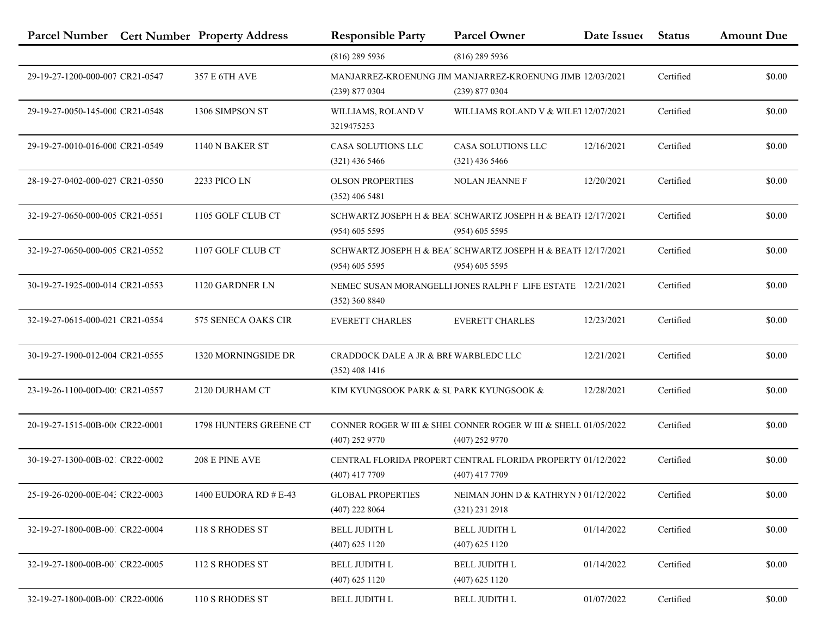| Parcel Number Cert Number Property Address |                        | <b>Responsible Party</b>                                  | <b>Parcel Owner</b>                                                                 | Date Issue | <b>Status</b> | <b>Amount Due</b> |
|--------------------------------------------|------------------------|-----------------------------------------------------------|-------------------------------------------------------------------------------------|------------|---------------|-------------------|
|                                            |                        | $(816)$ 289 5936                                          | $(816)$ 289 5936                                                                    |            |               |                   |
| 29-19-27-1200-000-007 CR21-0547            | 357 E 6TH AVE          | $(239)$ 877 0304                                          | MANJARREZ-KROENUNG JIM MANJARREZ-KROENUNG JIMB 12/03/2021<br>$(239)$ 877 0304       |            | Certified     | \$0.00            |
| 29-19-27-0050-145-000 CR21-0548            | 1306 SIMPSON ST        | WILLIAMS, ROLAND V<br>3219475253                          | WILLIAMS ROLAND V & WILET 12/07/2021                                                |            | Certified     | \$0.00            |
| 29-19-27-0010-016-000 CR21-0549            | 1140 N BAKER ST        | CASA SOLUTIONS LLC<br>$(321)$ 436 5466                    | CASA SOLUTIONS LLC<br>$(321)$ 436 5466                                              | 12/16/2021 | Certified     | \$0.00            |
| 28-19-27-0402-000-027 CR21-0550            | 2233 PICO LN           | <b>OLSON PROPERTIES</b><br>$(352)$ 406 5481               | <b>NOLAN JEANNE F</b>                                                               | 12/20/2021 | Certified     | \$0.00            |
| 32-19-27-0650-000-005 CR21-0551            | 1105 GOLF CLUB CT      | $(954)$ 605 5595                                          | SCHWARTZ JOSEPH H & BEA' SCHWARTZ JOSEPH H & BEATF 12/17/2021<br>$(954)$ 605 5595   |            | Certified     | \$0.00            |
| 32-19-27-0650-000-005 CR21-0552            | 1107 GOLF CLUB CT      | $(954)$ 605 5595                                          | SCHWARTZ JOSEPH H & BEA' SCHWARTZ JOSEPH H & BEATF 12/17/2021<br>$(954)$ 605 5595   |            | Certified     | \$0.00            |
| 30-19-27-1925-000-014 CR21-0553            | 1120 GARDNER LN        | $(352)$ 360 8840                                          | NEMEC SUSAN MORANGELLI JONES RALPH F LIFE ESTATE 12/21/2021                         |            | Certified     | \$0.00            |
| 32-19-27-0615-000-021 CR21-0554            | 575 SENECA OAKS CIR    | <b>EVERETT CHARLES</b>                                    | <b>EVERETT CHARLES</b>                                                              | 12/23/2021 | Certified     | \$0.00            |
| 30-19-27-1900-012-004 CR21-0555            | 1320 MORNINGSIDE DR    | CRADDOCK DALE A JR & BRI WARBLEDC LLC<br>$(352)$ 408 1416 |                                                                                     | 12/21/2021 | Certified     | \$0.00            |
| 23-19-26-1100-00D-00; CR21-0557            | 2120 DURHAM CT         | KIM KYUNGSOOK PARK & SU PARK KYUNGSOOK &                  |                                                                                     | 12/28/2021 | Certified     | \$0.00            |
| 20-19-27-1515-00B-00t CR22-0001            | 1798 HUNTERS GREENE CT | $(407)$ 252 9770                                          | CONNER ROGER W III & SHEL CONNER ROGER W III & SHELL 01/05/2022<br>$(407)$ 252 9770 |            | Certified     | \$0.00            |
| 30-19-27-1300-00B-021 CR22-0002            | 208 E PINE AVE         | $(407)$ 417 7709                                          | CENTRAL FLORIDA PROPERT CENTRAL FLORIDA PROPERTY 01/12/2022<br>$(407)$ 417 7709     |            | Certified     | \$0.00            |
| 25-19-26-0200-00E-04: CR22-0003            | 1400 EUDORA RD # E-43  | <b>GLOBAL PROPERTIES</b><br>$(407)$ 222 8064              | NEIMAN JOHN D & KATHRYN N 01/12/2022<br>$(321)$ 231 2918                            |            | Certified     | \$0.00            |
| 32-19-27-1800-00B-001 CR22-0004            | 118 S RHODES ST        | <b>BELL JUDITH L</b><br>$(407)$ 625 1120                  | <b>BELL JUDITH L</b><br>$(407)$ 625 1120                                            | 01/14/2022 | Certified     | \$0.00            |
| 32-19-27-1800-00B-001 CR22-0005            | 112 S RHODES ST        | <b>BELL JUDITH L</b><br>$(407)$ 625 1120                  | <b>BELL JUDITH L</b><br>$(407)$ 625 1120                                            | 01/14/2022 | Certified     | \$0.00            |
| 32-19-27-1800-00B-001 CR22-0006            | 110 S RHODES ST        | BELL JUDITH L                                             | <b>BELL JUDITH L</b>                                                                | 01/07/2022 | Certified     | \$0.00            |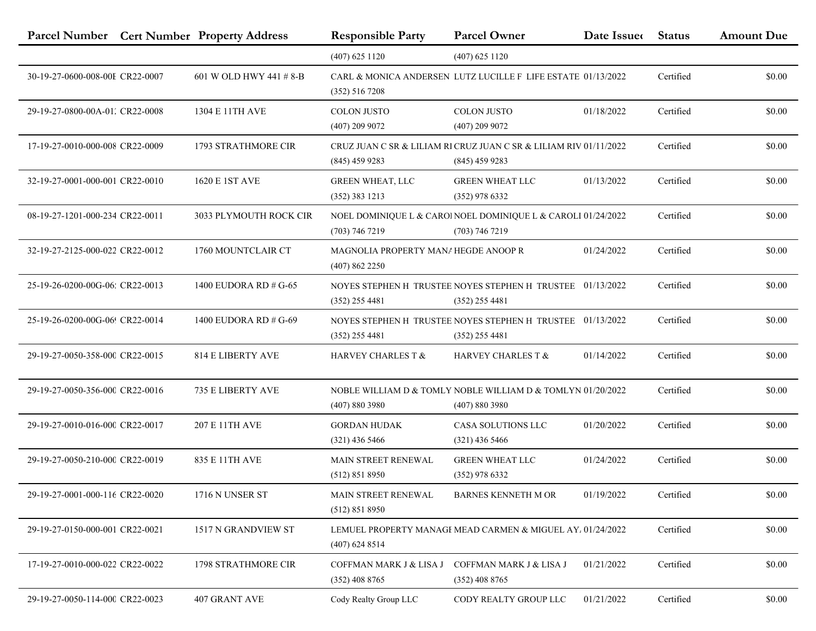| Parcel Number Cert Number Property Address |                            | <b>Responsible Party</b>                                | <b>Parcel Owner</b>                                                                   | Date Issue | <b>Status</b> | <b>Amount Due</b> |
|--------------------------------------------|----------------------------|---------------------------------------------------------|---------------------------------------------------------------------------------------|------------|---------------|-------------------|
|                                            |                            | $(407)$ 625 1120                                        | $(407)$ 625 1120                                                                      |            |               |                   |
| 30-19-27-0600-008-00E CR22-0007            | 601 W OLD HWY 441 # 8-B    | (352) 516 7208                                          | CARL & MONICA ANDERSEN LUTZ LUCILLE F LIFE ESTATE 01/13/2022                          |            | Certified     | \$0.00            |
| 29-19-27-0800-00A-01. CR22-0008            | 1304 E 11TH AVE            | <b>COLON JUSTO</b><br>$(407)$ 209 9072                  | <b>COLON JUSTO</b><br>$(407)$ 209 9072                                                | 01/18/2022 | Certified     | \$0.00            |
| 17-19-27-0010-000-008 CR22-0009            | <b>1793 STRATHMORE CIR</b> | $(845)$ 459 9283                                        | CRUZ JUAN C SR & LILIAM RI CRUZ JUAN C SR & LILIAM RIV 01/11/2022<br>$(845)$ 459 9283 |            | Certified     | \$0.00            |
| 32-19-27-0001-000-001 CR22-0010            | 1620 E 1ST AVE             | <b>GREEN WHEAT, LLC</b><br>$(352)$ 383 1213             | <b>GREEN WHEAT LLC</b><br>$(352)$ 978 6332                                            | 01/13/2022 | Certified     | \$0.00            |
| 08-19-27-1201-000-234 CR22-0011            | 3033 PLYMOUTH ROCK CIR     | $(703)$ 746 7219                                        | NOEL DOMINIQUE L & CARO! NOEL DOMINIQUE L & CAROLI 01/24/2022<br>$(703)$ 746 7219     |            | Certified     | \$0.00            |
| 32-19-27-2125-000-022 CR22-0012            | 1760 MOUNTCLAIR CT         | MAGNOLIA PROPERTY MANAHEGDE ANOOP R<br>$(407)$ 862 2250 |                                                                                       | 01/24/2022 | Certified     | \$0.00            |
| 25-19-26-0200-00G-06: CR22-0013            | 1400 EUDORA RD # G-65      | $(352)$ 255 4481                                        | NOYES STEPHEN H TRUSTEE NOYES STEPHEN H TRUSTEE 01/13/2022<br>$(352)$ 255 4481        |            | Certified     | \$0.00            |
| 25-19-26-0200-00G-06! CR22-0014            | 1400 EUDORA RD # G-69      | $(352)$ 255 4481                                        | NOYES STEPHEN H TRUSTEE NOYES STEPHEN H TRUSTEE 01/13/2022<br>$(352)$ 255 4481        |            | Certified     | \$0.00            |
| 29-19-27-0050-358-000 CR22-0015            | <b>814 E LIBERTY AVE</b>   | HARVEY CHARLES T &                                      | HARVEY CHARLES T &                                                                    | 01/14/2022 | Certified     | \$0.00            |
| 29-19-27-0050-356-000 CR22-0016            | 735 E LIBERTY AVE          | (407) 880 3980                                          | NOBLE WILLIAM D & TOMLY NOBLE WILLIAM D & TOMLYN 01/20/2022<br>(407) 880 3980         |            | Certified     | \$0.00            |
| 29-19-27-0010-016-000 CR22-0017            | 207 E 11TH AVE             | <b>GORDAN HUDAK</b><br>$(321)$ 436 5466                 | CASA SOLUTIONS LLC<br>$(321)$ 436 5466                                                | 01/20/2022 | Certified     | \$0.00            |
| 29-19-27-0050-210-000 CR22-0019            | 835 E 11TH AVE             | MAIN STREET RENEWAL<br>(512) 851 8950                   | <b>GREEN WHEAT LLC</b><br>$(352)$ 978 6332                                            | 01/24/2022 | Certified     | \$0.00            |
| 29-19-27-0001-000-116 CR22-0020            | 1716 N UNSER ST            | MAIN STREET RENEWAL<br>(512) 851 8950                   | <b>BARNES KENNETH M OR</b>                                                            | 01/19/2022 | Certified     | \$0.00            |
| 29-19-27-0150-000-001 CR22-0021            | 1517 N GRANDVIEW ST        | $(407)$ 624 8514                                        | LEMUEL PROPERTY MANAGI MEAD CARMEN & MIGUEL AY. 01/24/2022                            |            | Certified     | \$0.00            |
| 17-19-27-0010-000-022 CR22-0022            | 1798 STRATHMORE CIR        | COFFMAN MARK J & LISA J<br>$(352)$ 408 8765             | COFFMAN MARK J & LISA J<br>$(352)$ 408 8765                                           | 01/21/2022 | Certified     | \$0.00            |
| 29-19-27-0050-114-000 CR22-0023            | 407 GRANT AVE              | Cody Realty Group LLC                                   | CODY REALTY GROUP LLC                                                                 | 01/21/2022 | Certified     | \$0.00            |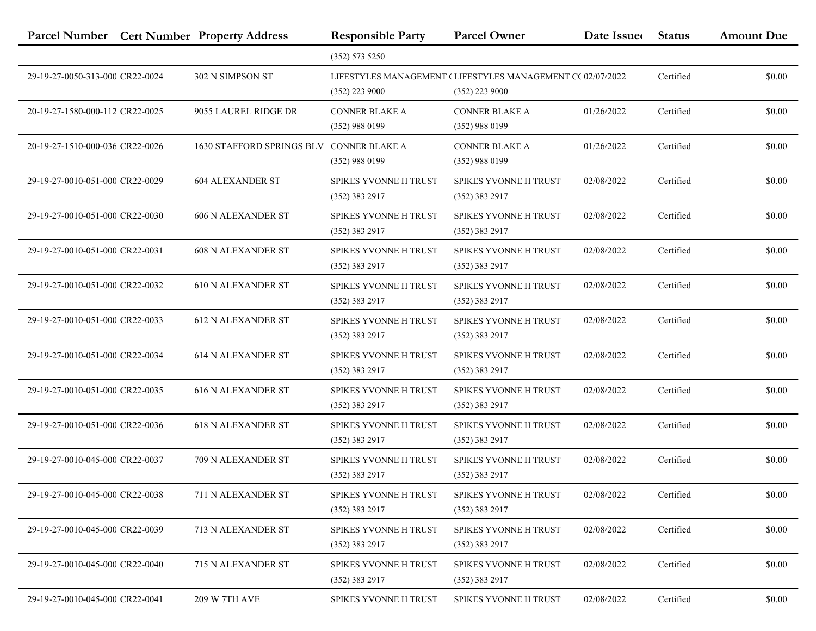|                                 | Parcel Number Cert Number Property Address | <b>Responsible Party</b>                         | <b>Parcel Owner</b>                                                             | Date Issue | <b>Status</b> | <b>Amount Due</b> |
|---------------------------------|--------------------------------------------|--------------------------------------------------|---------------------------------------------------------------------------------|------------|---------------|-------------------|
|                                 |                                            | (352) 573 5250                                   |                                                                                 |            |               |                   |
| 29-19-27-0050-313-000 CR22-0024 | 302 N SIMPSON ST                           | $(352)$ 223 9000                                 | LIFESTYLES MANAGEMENT (LIFESTYLES MANAGEMENT CC 02/07/2022)<br>$(352)$ 223 9000 |            | Certified     | \$0.00            |
| 20-19-27-1580-000-112 CR22-0025 | 9055 LAUREL RIDGE DR                       | <b>CONNER BLAKE A</b><br>(352) 988 0199          | <b>CONNER BLAKE A</b><br>$(352)$ 988 0199                                       | 01/26/2022 | Certified     | \$0.00            |
| 20-19-27-1510-000-036 CR22-0026 | 1630 STAFFORD SPRINGS BLV                  | <b>CONNER BLAKE A</b><br>$(352)$ 988 0199        | <b>CONNER BLAKE A</b><br>$(352)$ 988 0199                                       | 01/26/2022 | Certified     | \$0.00            |
| 29-19-27-0010-051-000 CR22-0029 | <b>604 ALEXANDER ST</b>                    | SPIKES YVONNE H TRUST<br>$(352)$ 383 2917        | SPIKES YVONNE H TRUST<br>$(352)$ 383 2917                                       | 02/08/2022 | Certified     | \$0.00            |
| 29-19-27-0010-051-000 CR22-0030 | <b>606 N ALEXANDER ST</b>                  | SPIKES YVONNE H TRUST<br>$(352)$ 383 2917        | SPIKES YVONNE H TRUST<br>$(352)$ 383 2917                                       | 02/08/2022 | Certified     | \$0.00            |
| 29-19-27-0010-051-000 CR22-0031 | <b>608 N ALEXANDER ST</b>                  | SPIKES YVONNE H TRUST<br>$(352)$ 383 2917        | <b>SPIKES YVONNE H TRUST</b><br>$(352)$ 383 2917                                | 02/08/2022 | Certified     | \$0.00            |
| 29-19-27-0010-051-000 CR22-0032 | <b>610 N ALEXANDER ST</b>                  | SPIKES YVONNE H TRUST<br>$(352)$ 383 2917        | <b>SPIKES YVONNE H TRUST</b><br>$(352)$ 383 2917                                | 02/08/2022 | Certified     | \$0.00            |
| 29-19-27-0010-051-000 CR22-0033 | <b>612 N ALEXANDER ST</b>                  | <b>SPIKES YVONNE H TRUST</b><br>$(352)$ 383 2917 | SPIKES YVONNE H TRUST<br>$(352)$ 383 2917                                       | 02/08/2022 | Certified     | \$0.00            |
| 29-19-27-0010-051-000 CR22-0034 | <b>614 N ALEXANDER ST</b>                  | SPIKES YVONNE H TRUST<br>$(352)$ 383 2917        | <b>SPIKES YVONNE H TRUST</b><br>$(352)$ 383 2917                                | 02/08/2022 | Certified     | \$0.00            |
| 29-19-27-0010-051-000 CR22-0035 | <b>616 N ALEXANDER ST</b>                  | SPIKES YVONNE H TRUST<br>$(352)$ 383 2917        | <b>SPIKES YVONNE H TRUST</b><br>$(352)$ 383 2917                                | 02/08/2022 | Certified     | \$0.00            |
| 29-19-27-0010-051-000 CR22-0036 | <b>618 N ALEXANDER ST</b>                  | SPIKES YVONNE H TRUST<br>$(352)$ 383 2917        | SPIKES YVONNE H TRUST<br>$(352)$ 383 2917                                       | 02/08/2022 | Certified     | \$0.00            |
| 29-19-27-0010-045-000 CR22-0037 | 709 N ALEXANDER ST                         | <b>SPIKES YVONNE H TRUST</b><br>(352) 383 2917   | SPIKES YVONNE H TRUST<br>$(352)$ 383 2917                                       | 02/08/2022 | Certified     | \$0.00            |
| 29-19-27-0010-045-000 CR22-0038 | 711 N ALEXANDER ST                         | SPIKES YVONNE H TRUST<br>(352) 383 2917          | <b>SPIKES YVONNE H TRUST</b><br>$(352)$ 383 2917                                | 02/08/2022 | Certified     | \$0.00            |
| 29-19-27-0010-045-000 CR22-0039 | 713 N ALEXANDER ST                         | SPIKES YVONNE H TRUST<br>$(352)$ 383 2917        | SPIKES YVONNE H TRUST<br>$(352)$ 383 2917                                       | 02/08/2022 | Certified     | \$0.00            |
| 29-19-27-0010-045-000 CR22-0040 | 715 N ALEXANDER ST                         | <b>SPIKES YVONNE H TRUST</b><br>$(352)$ 383 2917 | SPIKES YVONNE H TRUST<br>$(352)$ 383 2917                                       | 02/08/2022 | Certified     | \$0.00            |
| 29-19-27-0010-045-000 CR22-0041 | 209 W 7TH AVE                              | SPIKES YVONNE H TRUST                            | SPIKES YVONNE H TRUST                                                           | 02/08/2022 | Certified     | \$0.00            |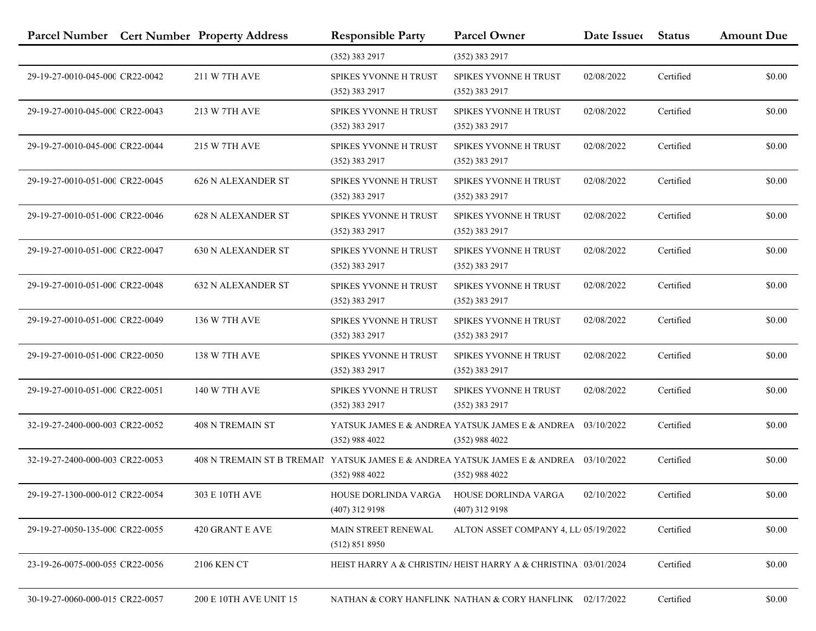|                                 | Parcel Number Cert Number Property Address                                            | <b>Responsible Party</b>                         | <b>Parcel Owner</b>                                                 | Date Issue | <b>Status</b> | <b>Amount Due</b> |
|---------------------------------|---------------------------------------------------------------------------------------|--------------------------------------------------|---------------------------------------------------------------------|------------|---------------|-------------------|
|                                 |                                                                                       | $(352)$ 383 2917                                 | (352) 383 2917                                                      |            |               |                   |
| 29-19-27-0010-045-000 CR22-0042 | 211 W 7TH AVE                                                                         | SPIKES YVONNE H TRUST<br>$(352)$ 383 2917        | <b>SPIKES YVONNE H TRUST</b><br>(352) 383 2917                      | 02/08/2022 | Certified     | \$0.00            |
| 29-19-27-0010-045-000 CR22-0043 | 213 W 7TH AVE                                                                         | SPIKES YVONNE H TRUST<br>$(352)$ 383 2917        | SPIKES YVONNE H TRUST<br>$(352)$ 383 2917                           | 02/08/2022 | Certified     | \$0.00            |
| 29-19-27-0010-045-000 CR22-0044 | 215 W 7TH AVE                                                                         | SPIKES YVONNE H TRUST<br>(352) 383 2917          | SPIKES YVONNE H TRUST<br>(352) 383 2917                             | 02/08/2022 | Certified     | \$0.00            |
| 29-19-27-0010-051-000 CR22-0045 | <b>626 N ALEXANDER ST</b>                                                             | <b>SPIKES YVONNE H TRUST</b><br>$(352)$ 383 2917 | <b>SPIKES YVONNE H TRUST</b><br>(352) 383 2917                      | 02/08/2022 | Certified     | \$0.00            |
| 29-19-27-0010-051-000 CR22-0046 | <b>628 N ALEXANDER ST</b>                                                             | SPIKES YVONNE H TRUST<br>$(352)$ 383 2917        | <b>SPIKES YVONNE H TRUST</b><br>(352) 383 2917                      | 02/08/2022 | Certified     | \$0.00            |
| 29-19-27-0010-051-000 CR22-0047 | <b>630 N ALEXANDER ST</b>                                                             | <b>SPIKES YVONNE H TRUST</b><br>$(352)$ 383 2917 | <b>SPIKES YVONNE H TRUST</b><br>$(352)$ 383 2917                    | 02/08/2022 | Certified     | \$0.00            |
| 29-19-27-0010-051-000 CR22-0048 | <b>632 N ALEXANDER ST</b>                                                             | SPIKES YVONNE H TRUST<br>(352) 383 2917          | <b>SPIKES YVONNE H TRUST</b><br>(352) 383 2917                      | 02/08/2022 | Certified     | \$0.00            |
| 29-19-27-0010-051-000 CR22-0049 | 136 W 7TH AVE                                                                         | <b>SPIKES YVONNE H TRUST</b><br>$(352)$ 383 2917 | SPIKES YVONNE H TRUST<br>(352) 383 2917                             | 02/08/2022 | Certified     | \$0.00            |
| 29-19-27-0010-051-000 CR22-0050 | 138 W 7TH AVE                                                                         | <b>SPIKES YVONNE H TRUST</b><br>$(352)$ 383 2917 | <b>SPIKES YVONNE H TRUST</b><br>(352) 383 2917                      | 02/08/2022 | Certified     | \$0.00            |
| 29-19-27-0010-051-000 CR22-0051 | 140 W 7TH AVE                                                                         | <b>SPIKES YVONNE H TRUST</b><br>$(352)$ 383 2917 | <b>SPIKES YVONNE H TRUST</b><br>$(352)$ 383 2917                    | 02/08/2022 | Certified     | \$0.00            |
| 32-19-27-2400-000-003 CR22-0052 | <b>408 N TREMAIN ST</b>                                                               | $(352)$ 988 4022                                 | YATSUK JAMES E & ANDREA YATSUK JAMES E & ANDREA<br>$(352)$ 988 4022 | 03/10/2022 | Certified     | \$0.00            |
| 32-19-27-2400-000-003 CR22-0053 | 408 N TREMAIN ST B TREMAIN YATSUK JAMES E & ANDREA YATSUK JAMES E & ANDREA 03/10/2022 | $(352)$ 988 4022                                 | $(352)$ 988 4022                                                    |            | Certified     | \$0.00            |
| 29-19-27-1300-000-012 CR22-0054 | 303 E 10TH AVE                                                                        | HOUSE DORLINDA VARGA<br>$(407)$ 312 9198         | HOUSE DORLINDA VARGA<br>$(407)$ 312 9198                            | 02/10/2022 | Certified     | \$0.00            |
| 29-19-27-0050-135-000 CR22-0055 | 420 GRANT E AVE                                                                       | <b>MAIN STREET RENEWAL</b><br>(512) 851 8950     | ALTON ASSET COMPANY 4, LL 05/19/2022                                |            | Certified     | \$0.00            |
| 23-19-26-0075-000-055 CR22-0056 | 2106 KEN CT                                                                           |                                                  | HEIST HARRY A & CHRISTIN/ HEIST HARRY A & CHRISTINA 103/01/2024     |            | Certified     | \$0.00            |
| 30-19-27-0060-000-015 CR22-0057 | 200 E 10TH AVE UNIT 15                                                                |                                                  | NATHAN & CORY HANFLINK NATHAN & CORY HANFLINK 02/17/2022            |            | Certified     | \$0.00            |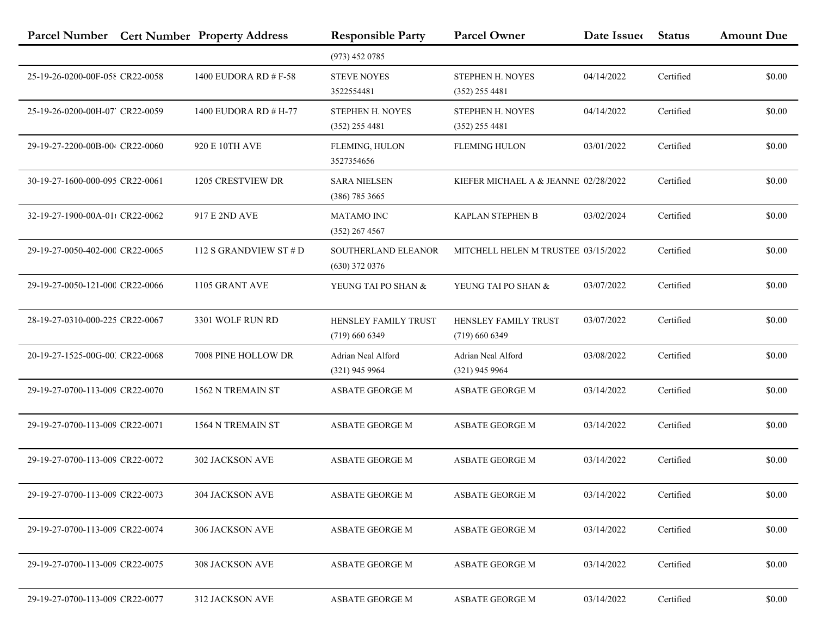| Parcel Number Cert Number Property Address |                         | <b>Responsible Party</b>                 | <b>Parcel Owner</b>                             | Date Issue | <b>Status</b> | <b>Amount Due</b> |
|--------------------------------------------|-------------------------|------------------------------------------|-------------------------------------------------|------------|---------------|-------------------|
|                                            |                         | $(973)$ 452 0785                         |                                                 |            |               |                   |
| 25-19-26-0200-00F-058 CR22-0058            | 1400 EUDORA RD # $F-58$ | <b>STEVE NOYES</b><br>3522554481         | STEPHEN H. NOYES<br>$(352)$ 255 4481            | 04/14/2022 | Certified     | \$0.00            |
| 25-19-26-0200-00H-07' CR22-0059            | 1400 EUDORA RD # H-77   | STEPHEN H. NOYES<br>$(352)$ 255 4481     | STEPHEN H. NOYES<br>$(352)$ 255 4481            | 04/14/2022 | Certified     | \$0.00            |
| 29-19-27-2200-00B-004 CR22-0060            | 920 E 10TH AVE          | FLEMING, HULON<br>3527354656             | <b>FLEMING HULON</b>                            | 03/01/2022 | Certified     | \$0.00            |
| 30-19-27-1600-000-095 CR22-0061            | 1205 CRESTVIEW DR       | <b>SARA NIELSEN</b><br>$(386)$ 785 3665  | KIEFER MICHAEL A & JEANNE 02/28/2022            |            | Certified     | \$0.00            |
| 32-19-27-1900-00A-01t CR22-0062            | 917 E 2ND AVE           | <b>MATAMO INC</b><br>$(352)$ 267 4567    | <b>KAPLAN STEPHEN B</b>                         | 03/02/2024 | Certified     | \$0.00            |
| 29-19-27-0050-402-000 CR22-0065            | 112 S GRANDVIEW ST $#D$ | SOUTHERLAND ELEANOR<br>$(630)$ 372 0376  | MITCHELL HELEN M TRUSTEE 03/15/2022             |            | Certified     | \$0.00            |
| 29-19-27-0050-121-000 CR22-0066            | 1105 GRANT AVE          | YEUNG TAI PO SHAN &                      | YEUNG TAI PO SHAN &                             | 03/07/2022 | Certified     | \$0.00            |
| 28-19-27-0310-000-225 CR22-0067            | 3301 WOLF RUN RD        | HENSLEY FAMILY TRUST<br>$(719)$ 660 6349 | <b>HENSLEY FAMILY TRUST</b><br>$(719)$ 660 6349 | 03/07/2022 | Certified     | \$0.00            |
| 20-19-27-1525-00G-00, CR22-0068            | 7008 PINE HOLLOW DR     | Adrian Neal Alford<br>$(321)$ 945 9964   | Adrian Neal Alford<br>$(321)$ 945 9964          | 03/08/2022 | Certified     | \$0.00            |
| 29-19-27-0700-113-009 CR22-0070            | 1562 N TREMAIN ST       | ASBATE GEORGE M                          | <b>ASBATE GEORGE M</b>                          | 03/14/2022 | Certified     | \$0.00            |
| 29-19-27-0700-113-009 CR22-0071            | 1564 N TREMAIN ST       | ASBATE GEORGE M                          | <b>ASBATE GEORGE M</b>                          | 03/14/2022 | Certified     | \$0.00            |
| 29-19-27-0700-113-009 CR22-0072            | 302 JACKSON AVE         | ASBATE GEORGE M                          | <b>ASBATE GEORGE M</b>                          | 03/14/2022 | Certified     | \$0.00            |
| 29-19-27-0700-113-009 CR22-0073            | 304 JACKSON AVE         | ASBATE GEORGE M                          | <b>ASBATE GEORGE M</b>                          | 03/14/2022 | Certified     | \$0.00            |
| 29-19-27-0700-113-009 CR22-0074            | 306 JACKSON AVE         | ASBATE GEORGE M                          | <b>ASBATE GEORGE M</b>                          | 03/14/2022 | Certified     | \$0.00            |
| 29-19-27-0700-113-009 CR22-0075            | <b>308 JACKSON AVE</b>  | ASBATE GEORGE M                          | <b>ASBATE GEORGE M</b>                          | 03/14/2022 | Certified     | \$0.00            |
| 29-19-27-0700-113-009 CR22-0077            | 312 JACKSON AVE         | ASBATE GEORGE M                          | <b>ASBATE GEORGE M</b>                          | 03/14/2022 | Certified     | \$0.00            |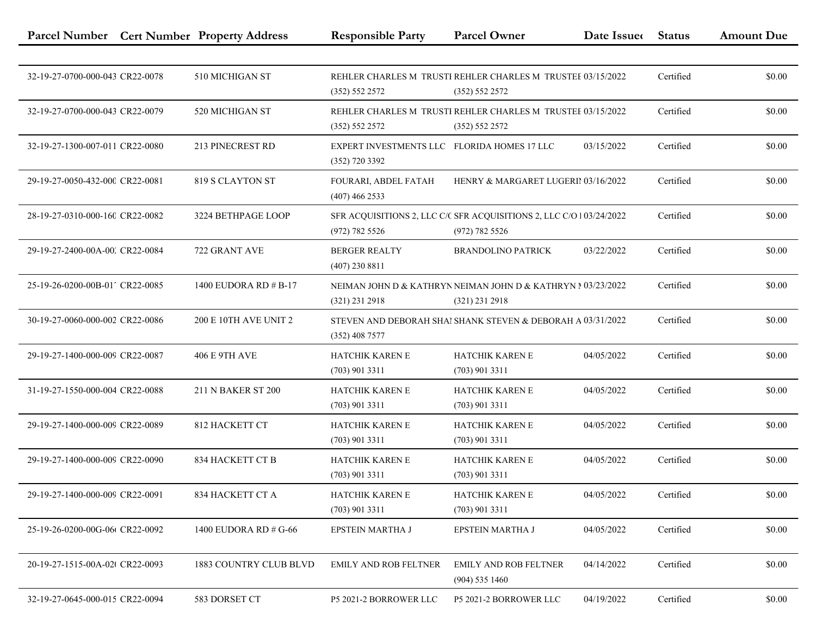|                                 | Parcel Number Cert Number Property Address | <b>Responsible Party</b>                                        | <b>Parcel Owner</b>                                                                   | Date Issue | <b>Status</b> | <b>Amount Due</b> |
|---------------------------------|--------------------------------------------|-----------------------------------------------------------------|---------------------------------------------------------------------------------------|------------|---------------|-------------------|
|                                 |                                            |                                                                 |                                                                                       |            |               |                   |
| 32-19-27-0700-000-043 CR22-0078 | 510 MICHIGAN ST                            | (352) 552 2572                                                  | REHLER CHARLES M TRUSTI REHLER CHARLES M TRUSTEF 03/15/2022<br>(352) 552 2572         |            | Certified     | \$0.00            |
| 32-19-27-0700-000-043 CR22-0079 | 520 MICHIGAN ST                            | (352) 552 2572                                                  | REHLER CHARLES M TRUSTI REHLER CHARLES M TRUSTEE 03/15/2022<br>(352) 552 2572         |            | Certified     | \$0.00            |
| 32-19-27-1300-007-011 CR22-0080 | 213 PINECREST RD                           | EXPERT INVESTMENTS LLC FLORIDA HOMES 17 LLC<br>$(352)$ 720 3392 |                                                                                       | 03/15/2022 | Certified     | \$0.00            |
| 29-19-27-0050-432-000 CR22-0081 | 819 S CLAYTON ST                           | FOURARI, ABDEL FATAH<br>$(407)$ 466 2533                        | HENRY & MARGARET LUGERII 03/16/2022                                                   |            | Certified     | \$0.00            |
| 28-19-27-0310-000-160 CR22-0082 | 3224 BETHPAGE LOOP                         | (972) 782 5526                                                  | SFR ACQUISITIONS 2, LLC C/C SFR ACQUISITIONS 2, LLC C/O 103/24/2022<br>(972) 782 5526 |            | Certified     | \$0.00            |
| 29-19-27-2400-00A-00. CR22-0084 | 722 GRANT AVE                              | <b>BERGER REALTY</b><br>$(407)$ 230 8811                        | <b>BRANDOLINO PATRICK</b>                                                             | 03/22/2022 | Certified     | \$0.00            |
| 25-19-26-0200-00B-01' CR22-0085 | 1400 EUDORA RD # B-17                      | $(321)$ 231 2918                                                | NEIMAN JOHN D & KATHRYN NEIMAN JOHN D & KATHRYN N 03/23/2022<br>$(321)$ 231 2918      |            | Certified     | \$0.00            |
| 30-19-27-0060-000-002 CR22-0086 | <b>200 E 10TH AVE UNIT 2</b>               | $(352)$ 408 7577                                                | STEVEN AND DEBORAH SHAI SHANK STEVEN & DEBORAH A 03/31/2022                           |            | Certified     | \$0.00            |
| 29-19-27-1400-000-009 CR22-0087 | <b>406 E 9TH AVE</b>                       | HATCHIK KAREN E<br>$(703)$ 901 3311                             | HATCHIK KAREN E<br>$(703)$ 901 3311                                                   | 04/05/2022 | Certified     | \$0.00            |
| 31-19-27-1550-000-004 CR22-0088 | 211 N BAKER ST 200                         | HATCHIK KAREN E<br>$(703)$ 901 3311                             | HATCHIK KAREN E<br>$(703)$ 901 3311                                                   | 04/05/2022 | Certified     | \$0.00            |
| 29-19-27-1400-000-009 CR22-0089 | 812 HACKETT CT                             | HATCHIK KAREN E<br>$(703)$ 901 3311                             | <b>HATCHIK KAREN E</b><br>$(703)$ 901 3311                                            | 04/05/2022 | Certified     | \$0.00            |
| 29-19-27-1400-000-009 CR22-0090 | 834 HACKETT CT B                           | HATCHIK KAREN E<br>$(703)$ 901 3311                             | HATCHIK KAREN E<br>$(703)$ 901 3311                                                   | 04/05/2022 | Certified     | \$0.00            |
| 29-19-27-1400-000-009 CR22-0091 | 834 HACKETT CT A                           | <b>HATCHIK KAREN E</b><br>$(703)$ 901 3311                      | HATCHIK KAREN E<br>$(703)$ 901 3311                                                   | 04/05/2022 | Certified     | \$0.00            |
| 25-19-26-0200-00G-06t CR22-0092 | 1400 EUDORA RD # G-66                      | EPSTEIN MARTHA J                                                | EPSTEIN MARTHA J                                                                      | 04/05/2022 | Certified     | \$0.00            |
| 20-19-27-1515-00A-02( CR22-0093 | 1883 COUNTRY CLUB BLVD                     | <b>EMILY AND ROB FELTNER</b>                                    | <b>EMILY AND ROB FELTNER</b><br>$(904)$ 535 1460                                      | 04/14/2022 | Certified     | \$0.00            |
| 32-19-27-0645-000-015 CR22-0094 | 583 DORSET CT                              | P5 2021-2 BORROWER LLC                                          | P5 2021-2 BORROWER LLC                                                                | 04/19/2022 | Certified     | \$0.00            |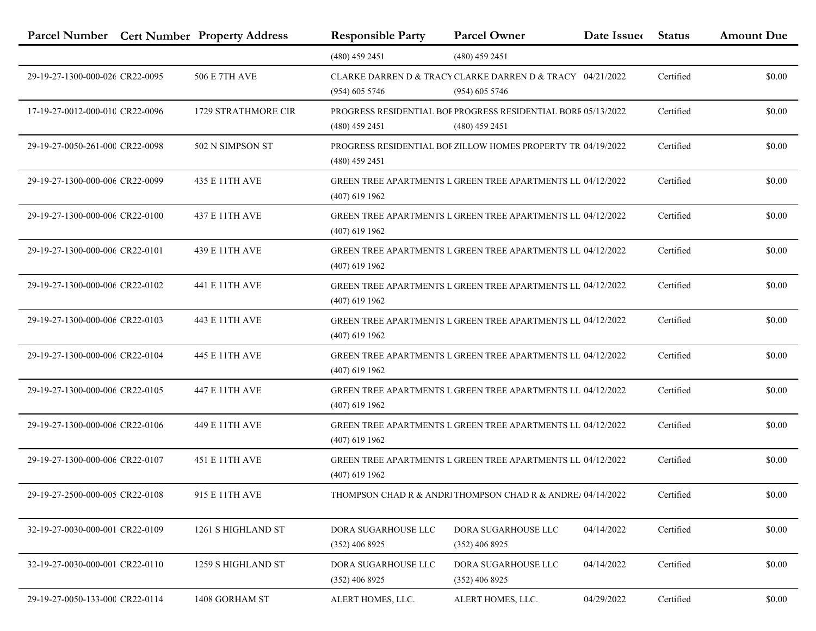|                                 | Parcel Number Cert Number Property Address | <b>Responsible Party</b>                | <b>Parcel Owner</b>                                                                      | Date Issue | <b>Status</b> | <b>Amount Due</b> |
|---------------------------------|--------------------------------------------|-----------------------------------------|------------------------------------------------------------------------------------------|------------|---------------|-------------------|
|                                 |                                            | $(480)$ 459 2451                        | $(480)$ 459 2451                                                                         |            |               |                   |
| 29-19-27-1300-000-026 CR22-0095 | 506 E 7TH AVE                              | $(954)$ 605 5746                        | CLARKE DARREN D & TRACY CLARKE DARREN D & TRACY 04/21/2022<br>$(954)$ 605 5746           |            | Certified     | \$0.00            |
| 17-19-27-0012-000-010 CR22-0096 | <b>1729 STRATHMORE CIR</b>                 | $(480)$ 459 2451                        | <b>PROGRESS RESIDENTIAL BOI PROGRESS RESIDENTIAL BORF 05/13/2022</b><br>$(480)$ 459 2451 |            | Certified     | \$0.00            |
| 29-19-27-0050-261-000 CR22-0098 | 502 N SIMPSON ST                           | $(480)$ 459 2451                        | PROGRESS RESIDENTIAL BOI ZILLOW HOMES PROPERTY TR 04/19/2022                             |            | Certified     | \$0.00            |
| 29-19-27-1300-000-006 CR22-0099 | 435 E 11TH AVE                             | $(407)$ 619 1962                        | GREEN TREE APARTMENTS L GREEN TREE APARTMENTS LL 04/12/2022                              |            | Certified     | \$0.00            |
| 29-19-27-1300-000-006 CR22-0100 | 437 E 11TH AVE                             | $(407)$ 619 1962                        | GREEN TREE APARTMENTS L GREEN TREE APARTMENTS LL 04/12/2022                              |            | Certified     | \$0.00            |
| 29-19-27-1300-000-006 CR22-0101 | 439 E 11TH AVE                             | $(407)$ 619 1962                        | GREEN TREE APARTMENTS L GREEN TREE APARTMENTS LL 04/12/2022                              |            | Certified     | \$0.00            |
| 29-19-27-1300-000-006 CR22-0102 | 441 E 11TH AVE                             | $(407)$ 619 1962                        | GREEN TREE APARTMENTS I. GREEN TREE APARTMENTS I.L. 04/12/2022                           |            | Certified     | \$0.00            |
| 29-19-27-1300-000-006 CR22-0103 | 443 E 11TH AVE                             | $(407)$ 619 1962                        | GREEN TREE APARTMENTS L GREEN TREE APARTMENTS LL 04/12/2022                              |            | Certified     | \$0.00            |
| 29-19-27-1300-000-006 CR22-0104 | 445 E 11TH AVE                             | $(407)$ 619 1962                        | <b>GREEN TREE APARTMENTS L GREEN TREE APARTMENTS LL 04/12/2022</b>                       |            | Certified     | \$0.00            |
| 29-19-27-1300-000-006 CR22-0105 | 447 E 11TH AVE                             | $(407)$ 619 1962                        | GREEN TREE APARTMENTS L GREEN TREE APARTMENTS LL 04/12/2022                              |            | Certified     | \$0.00            |
| 29-19-27-1300-000-006 CR22-0106 | 449 E 11TH AVE                             | $(407)$ 619 1962                        | GREEN TREE APARTMENTS L GREEN TREE APARTMENTS LL 04/12/2022                              |            | Certified     | \$0.00            |
| 29-19-27-1300-000-006 CR22-0107 | 451 E 11TH AVE                             | $(407)$ 619 1962                        | <b>GREEN TREE APARTMENTS L GREEN TREE APARTMENTS LL 04/12/2022</b>                       |            | Certified     | \$0.00            |
| 29-19-27-2500-000-005 CR22-0108 | 915 E 11TH AVE                             |                                         | THOMPSON CHAD R & ANDRI THOMPSON CHAD R & ANDREA 04/14/2022                              |            | Certified     | \$0.00            |
| 32-19-27-0030-000-001 CR22-0109 | 1261 S HIGHLAND ST                         | DORA SUGARHOUSE LLC<br>$(352)$ 406 8925 | DORA SUGARHOUSE LLC<br>$(352)$ 406 8925                                                  | 04/14/2022 | Certified     | \$0.00            |
| 32-19-27-0030-000-001 CR22-0110 | 1259 S HIGHLAND ST                         | DORA SUGARHOUSE LLC<br>$(352)$ 406 8925 | DORA SUGARHOUSE LLC<br>$(352)$ 406 8925                                                  | 04/14/2022 | Certified     | \$0.00            |
| 29-19-27-0050-133-000 CR22-0114 | 1408 GORHAM ST                             | ALERT HOMES, LLC.                       | ALERT HOMES, LLC.                                                                        | 04/29/2022 | Certified     | \$0.00            |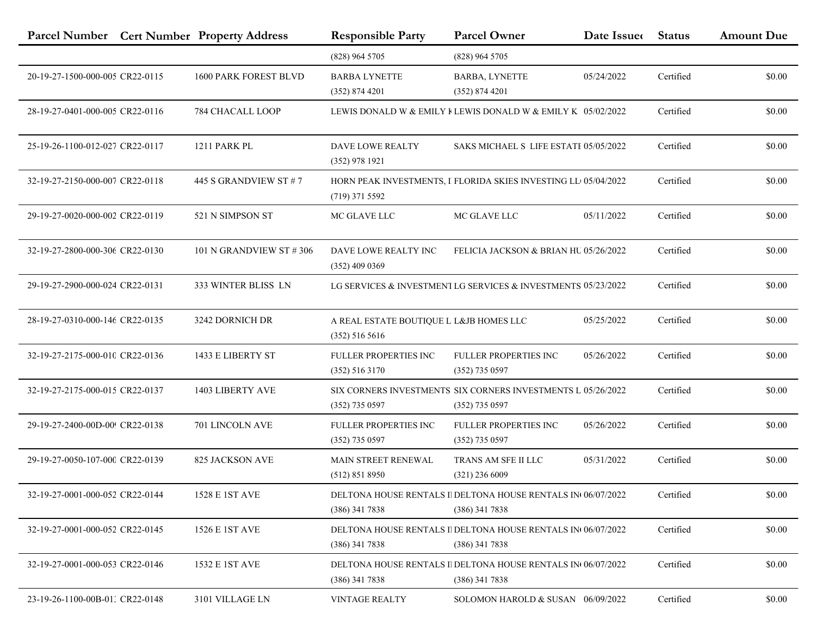|                                 | Parcel Number Cert Number Property Address | <b>Responsible Party</b>                                    | <b>Parcel Owner</b>                                                              | Date Issue | <b>Status</b> | <b>Amount Due</b> |
|---------------------------------|--------------------------------------------|-------------------------------------------------------------|----------------------------------------------------------------------------------|------------|---------------|-------------------|
|                                 |                                            | (828) 964 5705                                              | $(828)$ 964 5705                                                                 |            |               |                   |
| 20-19-27-1500-000-005 CR22-0115 | 1600 PARK FOREST BLVD                      | <b>BARBA LYNETTE</b><br>(352) 874 4201                      | <b>BARBA, LYNETTE</b><br>(352) 874 4201                                          | 05/24/2022 | Certified     | \$0.00            |
| 28-19-27-0401-000-005 CR22-0116 | 784 CHACALL LOOP                           |                                                             | LEWIS DONALD W & EMILY FLEWIS DONALD W & EMILY K $05/02/2022$                    |            | Certified     | \$0.00            |
| 25-19-26-1100-012-027 CR22-0117 | 1211 PARK PL                               | DAVE LOWE REALTY<br>$(352)$ 978 1921                        | SAKS MICHAEL S LIFE ESTATE 05/05/2022                                            |            | Certified     | \$0.00            |
| 32-19-27-2150-000-007 CR22-0118 | 445 S GRANDVIEW ST # 7                     | $(719)$ 371 5592                                            | HORN PEAK INVESTMENTS, I FLORIDA SKIES INVESTING LL 05/04/2022                   |            | Certified     | \$0.00            |
| 29-19-27-0020-000-002 CR22-0119 | 521 N SIMPSON ST                           | MC GLAVE LLC                                                | MC GLAVE LLC                                                                     | 05/11/2022 | Certified     | \$0.00            |
| 32-19-27-2800-000-306 CR22-0130 | 101 N GRANDVIEW ST #306                    | DAVE LOWE REALTY INC<br>$(352)$ 409 0369                    | FELICIA JACKSON & BRIAN HU 05/26/2022                                            |            | Certified     | \$0.00            |
| 29-19-27-2900-000-024 CR22-0131 | 333 WINTER BLISS LN                        |                                                             | LG SERVICES & INVESTMENT LG SERVICES & INVESTMENTS 05/23/2022                    |            | Certified     | \$0.00            |
| 28-19-27-0310-000-146 CR22-0135 | 3242 DORNICH DR                            | A REAL ESTATE BOUTIQUE L L&JB HOMES LLC<br>$(352)$ 516 5616 |                                                                                  | 05/25/2022 | Certified     | \$0.00            |
| 32-19-27-2175-000-010 CR22-0136 | 1433 E LIBERTY ST                          | FULLER PROPERTIES INC<br>(352) 516 3170                     | FULLER PROPERTIES INC<br>$(352)$ 735 0597                                        | 05/26/2022 | Certified     | \$0.00            |
| 32-19-27-2175-000-015 CR22-0137 | 1403 LIBERTY AVE                           | $(352)$ 735 0597                                            | SIX CORNERS INVESTMENTS SIX CORNERS INVESTMENTS L 05/26/2022<br>$(352)$ 735 0597 |            | Certified     | \$0.00            |
| 29-19-27-2400-00D-00! CR22-0138 | 701 LINCOLN AVE                            | FULLER PROPERTIES INC<br>$(352)$ 735 0597                   | <b>FULLER PROPERTIES INC</b><br>(352) 735 0597                                   | 05/26/2022 | Certified     | \$0.00            |
| 29-19-27-0050-107-000 CR22-0139 | 825 JACKSON AVE                            | MAIN STREET RENEWAL<br>(512) 851 8950                       | TRANS AM SFE II LLC<br>$(321)$ 236 6009                                          | 05/31/2022 | Certified     | \$0.00            |
| 32-19-27-0001-000-052 CR22-0144 | 1528 E 1ST AVE                             | $(386)$ 341 7838                                            | DELTONA HOUSE RENTALS II DELTONA HOUSE RENTALS IN 06/07/2022<br>$(386)$ 341 7838 |            | Certified     | \$0.00            |
| 32-19-27-0001-000-052 CR22-0145 | 1526 E 1ST AVE                             | $(386)$ 341 7838                                            | DELTONA HOUSE RENTALS II DELTONA HOUSE RENTALS IN 06/07/2022<br>$(386)$ 341 7838 |            | Certified     | \$0.00            |
| 32-19-27-0001-000-053 CR22-0146 | 1532 E 1ST AVE                             | $(386)$ 341 7838                                            | DELTONA HOUSE RENTALS II DELTONA HOUSE RENTALS IN 06/07/2022<br>$(386)$ 341 7838 |            | Certified     | \$0.00            |
| 23-19-26-1100-00B-01: CR22-0148 | 3101 VILLAGE LN                            | <b>VINTAGE REALTY</b>                                       | SOLOMON HAROLD & SUSAN 06/09/2022                                                |            | Certified     | \$0.00            |